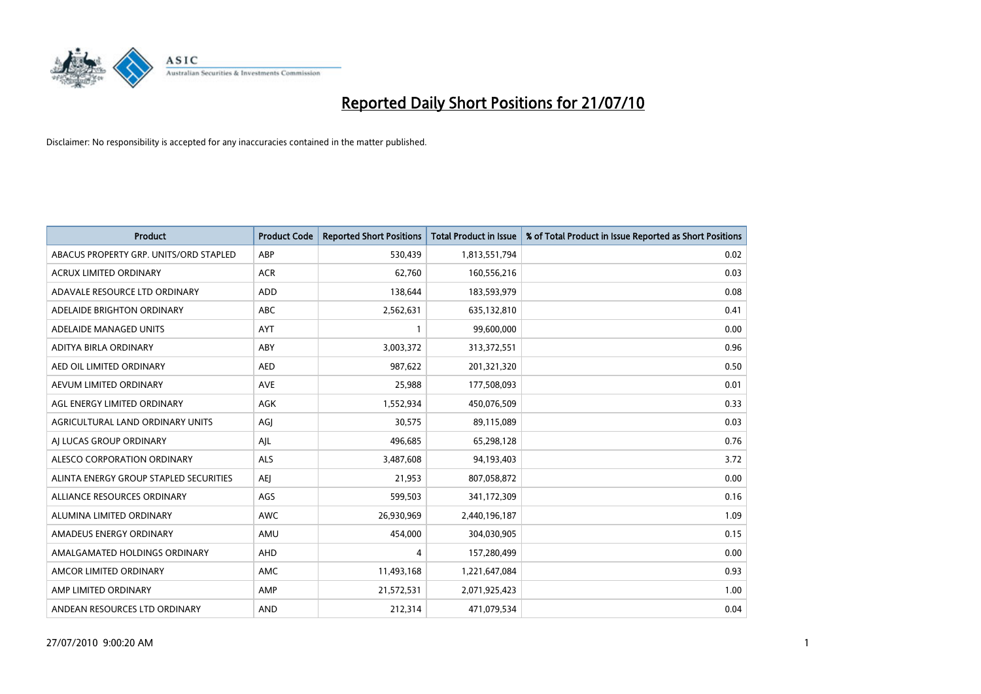

| <b>Product</b>                         | <b>Product Code</b> | <b>Reported Short Positions</b> | Total Product in Issue | % of Total Product in Issue Reported as Short Positions |
|----------------------------------------|---------------------|---------------------------------|------------------------|---------------------------------------------------------|
| ABACUS PROPERTY GRP. UNITS/ORD STAPLED | ABP                 | 530,439                         | 1,813,551,794          | 0.02                                                    |
| ACRUX LIMITED ORDINARY                 | <b>ACR</b>          | 62,760                          | 160,556,216            | 0.03                                                    |
| ADAVALE RESOURCE LTD ORDINARY          | <b>ADD</b>          | 138,644                         | 183,593,979            | 0.08                                                    |
| ADELAIDE BRIGHTON ORDINARY             | <b>ABC</b>          | 2,562,631                       | 635,132,810            | 0.41                                                    |
| ADELAIDE MANAGED UNITS                 | <b>AYT</b>          |                                 | 99,600,000             | 0.00                                                    |
| ADITYA BIRLA ORDINARY                  | ABY                 | 3,003,372                       | 313,372,551            | 0.96                                                    |
| AED OIL LIMITED ORDINARY               | <b>AED</b>          | 987,622                         | 201,321,320            | 0.50                                                    |
| AEVUM LIMITED ORDINARY                 | <b>AVE</b>          | 25,988                          | 177,508,093            | 0.01                                                    |
| AGL ENERGY LIMITED ORDINARY            | AGK                 | 1,552,934                       | 450,076,509            | 0.33                                                    |
| AGRICULTURAL LAND ORDINARY UNITS       | AGJ                 | 30,575                          | 89,115,089             | 0.03                                                    |
| AJ LUCAS GROUP ORDINARY                | AJL                 | 496,685                         | 65,298,128             | 0.76                                                    |
| ALESCO CORPORATION ORDINARY            | <b>ALS</b>          | 3,487,608                       | 94,193,403             | 3.72                                                    |
| ALINTA ENERGY GROUP STAPLED SECURITIES | AEJ                 | 21,953                          | 807,058,872            | 0.00                                                    |
| ALLIANCE RESOURCES ORDINARY            | AGS                 | 599,503                         | 341,172,309            | 0.16                                                    |
| ALUMINA LIMITED ORDINARY               | <b>AWC</b>          | 26,930,969                      | 2,440,196,187          | 1.09                                                    |
| AMADEUS ENERGY ORDINARY                | AMU                 | 454,000                         | 304,030,905            | 0.15                                                    |
| AMALGAMATED HOLDINGS ORDINARY          | AHD                 | 4                               | 157,280,499            | 0.00                                                    |
| AMCOR LIMITED ORDINARY                 | <b>AMC</b>          | 11,493,168                      | 1,221,647,084          | 0.93                                                    |
| AMP LIMITED ORDINARY                   | AMP                 | 21,572,531                      | 2,071,925,423          | 1.00                                                    |
| ANDEAN RESOURCES LTD ORDINARY          | <b>AND</b>          | 212,314                         | 471,079,534            | 0.04                                                    |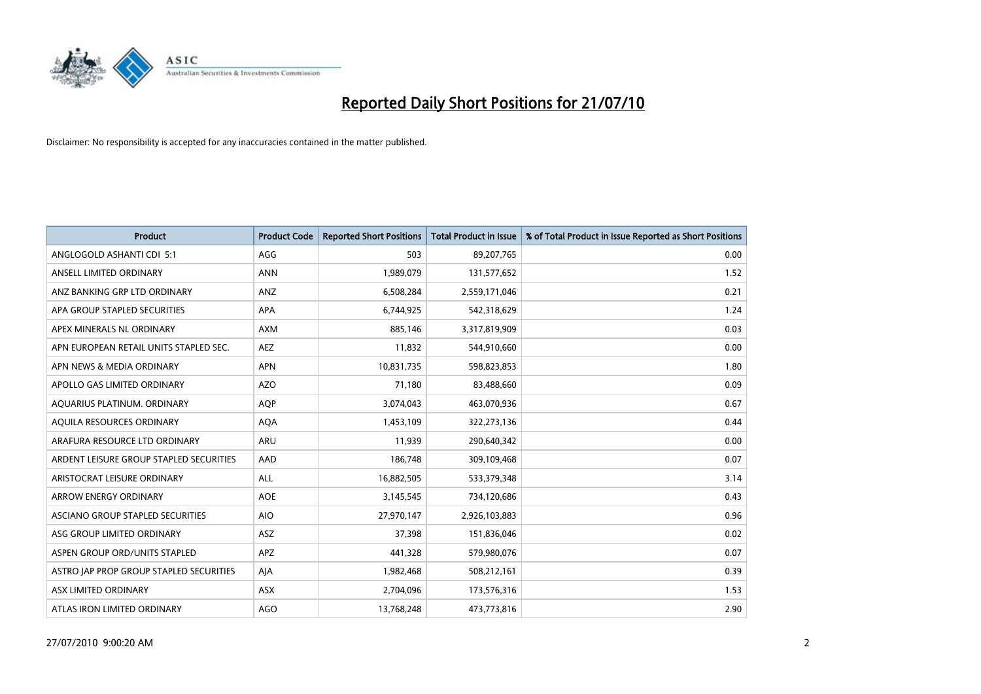

| <b>Product</b>                          | <b>Product Code</b> | <b>Reported Short Positions</b> | <b>Total Product in Issue</b> | % of Total Product in Issue Reported as Short Positions |
|-----------------------------------------|---------------------|---------------------------------|-------------------------------|---------------------------------------------------------|
| ANGLOGOLD ASHANTI CDI 5:1               | AGG                 | 503                             | 89,207,765                    | 0.00                                                    |
| ANSELL LIMITED ORDINARY                 | <b>ANN</b>          | 1,989,079                       | 131,577,652                   | 1.52                                                    |
| ANZ BANKING GRP LTD ORDINARY            | ANZ                 | 6,508,284                       | 2,559,171,046                 | 0.21                                                    |
| APA GROUP STAPLED SECURITIES            | <b>APA</b>          | 6,744,925                       | 542,318,629                   | 1.24                                                    |
| APEX MINERALS NL ORDINARY               | <b>AXM</b>          | 885,146                         | 3,317,819,909                 | 0.03                                                    |
| APN EUROPEAN RETAIL UNITS STAPLED SEC.  | <b>AEZ</b>          | 11,832                          | 544,910,660                   | 0.00                                                    |
| APN NEWS & MEDIA ORDINARY               | APN                 | 10,831,735                      | 598,823,853                   | 1.80                                                    |
| APOLLO GAS LIMITED ORDINARY             | <b>AZO</b>          | 71,180                          | 83,488,660                    | 0.09                                                    |
| AQUARIUS PLATINUM. ORDINARY             | <b>AOP</b>          | 3,074,043                       | 463,070,936                   | 0.67                                                    |
| AQUILA RESOURCES ORDINARY               | <b>AQA</b>          | 1,453,109                       | 322,273,136                   | 0.44                                                    |
| ARAFURA RESOURCE LTD ORDINARY           | <b>ARU</b>          | 11,939                          | 290,640,342                   | 0.00                                                    |
| ARDENT LEISURE GROUP STAPLED SECURITIES | AAD                 | 186,748                         | 309,109,468                   | 0.07                                                    |
| ARISTOCRAT LEISURE ORDINARY             | ALL                 | 16,882,505                      | 533,379,348                   | 3.14                                                    |
| <b>ARROW ENERGY ORDINARY</b>            | <b>AOE</b>          | 3,145,545                       | 734,120,686                   | 0.43                                                    |
| ASCIANO GROUP STAPLED SECURITIES        | <b>AIO</b>          | 27,970,147                      | 2,926,103,883                 | 0.96                                                    |
| ASG GROUP LIMITED ORDINARY              | <b>ASZ</b>          | 37,398                          | 151,836,046                   | 0.02                                                    |
| ASPEN GROUP ORD/UNITS STAPLED           | APZ                 | 441,328                         | 579,980,076                   | 0.07                                                    |
| ASTRO JAP PROP GROUP STAPLED SECURITIES | AJA                 | 1,982,468                       | 508,212,161                   | 0.39                                                    |
| ASX LIMITED ORDINARY                    | ASX                 | 2,704,096                       | 173,576,316                   | 1.53                                                    |
| ATLAS IRON LIMITED ORDINARY             | <b>AGO</b>          | 13,768,248                      | 473,773,816                   | 2.90                                                    |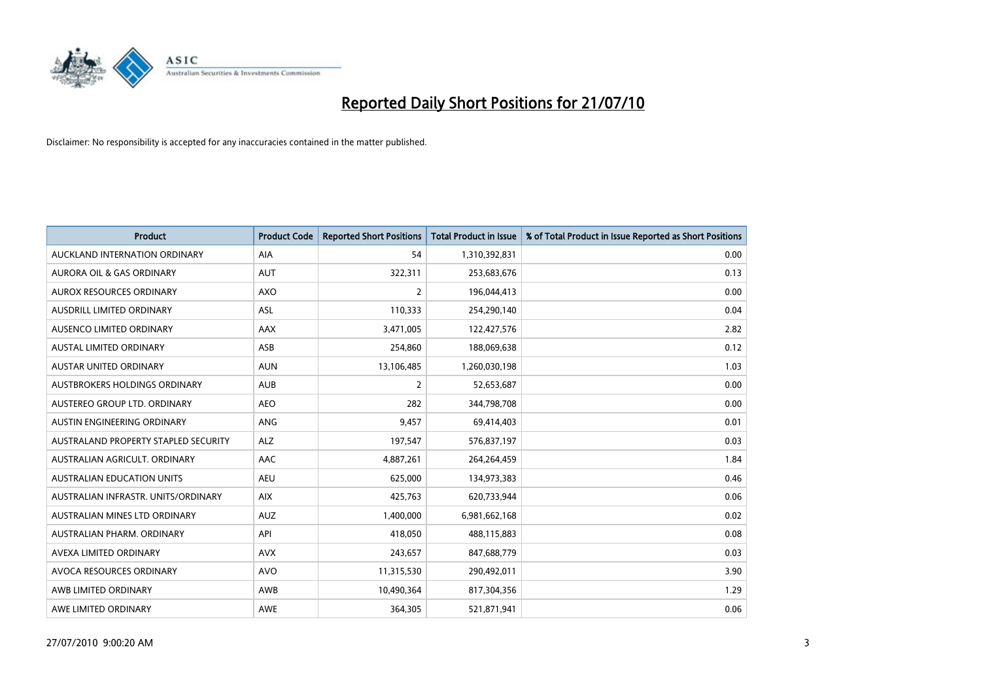

| <b>Product</b>                       | <b>Product Code</b> | <b>Reported Short Positions</b> | <b>Total Product in Issue</b> | % of Total Product in Issue Reported as Short Positions |
|--------------------------------------|---------------------|---------------------------------|-------------------------------|---------------------------------------------------------|
| AUCKLAND INTERNATION ORDINARY        | AIA                 | 54                              | 1,310,392,831                 | 0.00                                                    |
| AURORA OIL & GAS ORDINARY            | <b>AUT</b>          | 322,311                         | 253,683,676                   | 0.13                                                    |
| AUROX RESOURCES ORDINARY             | AXO                 | $\overline{2}$                  | 196,044,413                   | 0.00                                                    |
| AUSDRILL LIMITED ORDINARY            | <b>ASL</b>          | 110,333                         | 254,290,140                   | 0.04                                                    |
| AUSENCO LIMITED ORDINARY             | AAX                 | 3,471,005                       | 122,427,576                   | 2.82                                                    |
| <b>AUSTAL LIMITED ORDINARY</b>       | ASB                 | 254,860                         | 188,069,638                   | 0.12                                                    |
| AUSTAR UNITED ORDINARY               | <b>AUN</b>          | 13,106,485                      | 1,260,030,198                 | 1.03                                                    |
| AUSTBROKERS HOLDINGS ORDINARY        | <b>AUB</b>          | $\overline{2}$                  | 52,653,687                    | 0.00                                                    |
| AUSTEREO GROUP LTD. ORDINARY         | <b>AEO</b>          | 282                             | 344,798,708                   | 0.00                                                    |
| AUSTIN ENGINEERING ORDINARY          | ANG                 | 9,457                           | 69,414,403                    | 0.01                                                    |
| AUSTRALAND PROPERTY STAPLED SECURITY | <b>ALZ</b>          | 197,547                         | 576,837,197                   | 0.03                                                    |
| AUSTRALIAN AGRICULT, ORDINARY        | AAC                 | 4,887,261                       | 264,264,459                   | 1.84                                                    |
| <b>AUSTRALIAN EDUCATION UNITS</b>    | <b>AEU</b>          | 625,000                         | 134,973,383                   | 0.46                                                    |
| AUSTRALIAN INFRASTR. UNITS/ORDINARY  | <b>AIX</b>          | 425,763                         | 620,733,944                   | 0.06                                                    |
| AUSTRALIAN MINES LTD ORDINARY        | <b>AUZ</b>          | 1,400,000                       | 6,981,662,168                 | 0.02                                                    |
| AUSTRALIAN PHARM. ORDINARY           | API                 | 418,050                         | 488,115,883                   | 0.08                                                    |
| AVEXA LIMITED ORDINARY               | <b>AVX</b>          | 243,657                         | 847,688,779                   | 0.03                                                    |
| AVOCA RESOURCES ORDINARY             | <b>AVO</b>          | 11,315,530                      | 290,492,011                   | 3.90                                                    |
| AWB LIMITED ORDINARY                 | AWB                 | 10,490,364                      | 817,304,356                   | 1.29                                                    |
| AWE LIMITED ORDINARY                 | <b>AWE</b>          | 364,305                         | 521,871,941                   | 0.06                                                    |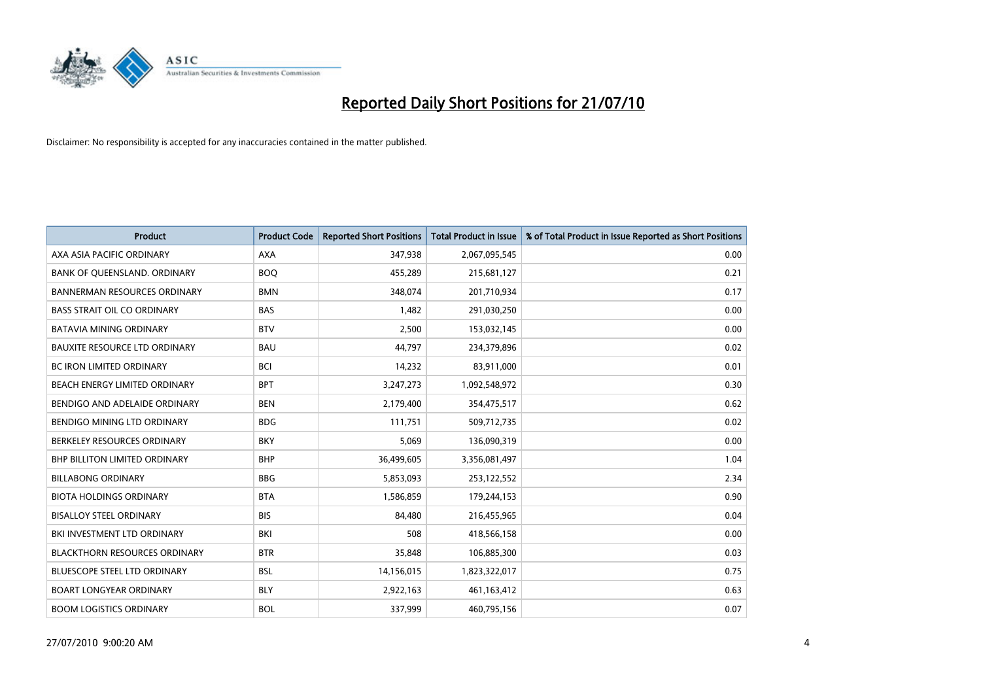

| <b>Product</b>                       | <b>Product Code</b> | <b>Reported Short Positions</b> | <b>Total Product in Issue</b> | % of Total Product in Issue Reported as Short Positions |
|--------------------------------------|---------------------|---------------------------------|-------------------------------|---------------------------------------------------------|
| AXA ASIA PACIFIC ORDINARY            | <b>AXA</b>          | 347,938                         | 2,067,095,545                 | 0.00                                                    |
| BANK OF QUEENSLAND. ORDINARY         | <b>BOO</b>          | 455,289                         | 215,681,127                   | 0.21                                                    |
| <b>BANNERMAN RESOURCES ORDINARY</b>  | <b>BMN</b>          | 348,074                         | 201,710,934                   | 0.17                                                    |
| <b>BASS STRAIT OIL CO ORDINARY</b>   | <b>BAS</b>          | 1,482                           | 291,030,250                   | 0.00                                                    |
| <b>BATAVIA MINING ORDINARY</b>       | <b>BTV</b>          | 2,500                           | 153,032,145                   | 0.00                                                    |
| <b>BAUXITE RESOURCE LTD ORDINARY</b> | <b>BAU</b>          | 44.797                          | 234,379,896                   | 0.02                                                    |
| <b>BC IRON LIMITED ORDINARY</b>      | <b>BCI</b>          | 14,232                          | 83,911,000                    | 0.01                                                    |
| BEACH ENERGY LIMITED ORDINARY        | <b>BPT</b>          | 3,247,273                       | 1,092,548,972                 | 0.30                                                    |
| BENDIGO AND ADELAIDE ORDINARY        | <b>BEN</b>          | 2,179,400                       | 354,475,517                   | 0.62                                                    |
| BENDIGO MINING LTD ORDINARY          | <b>BDG</b>          | 111,751                         | 509,712,735                   | 0.02                                                    |
| BERKELEY RESOURCES ORDINARY          | <b>BKY</b>          | 5,069                           | 136,090,319                   | 0.00                                                    |
| <b>BHP BILLITON LIMITED ORDINARY</b> | <b>BHP</b>          | 36,499,605                      | 3,356,081,497                 | 1.04                                                    |
| <b>BILLABONG ORDINARY</b>            | <b>BBG</b>          | 5,853,093                       | 253,122,552                   | 2.34                                                    |
| <b>BIOTA HOLDINGS ORDINARY</b>       | <b>BTA</b>          | 1,586,859                       | 179,244,153                   | 0.90                                                    |
| <b>BISALLOY STEEL ORDINARY</b>       | <b>BIS</b>          | 84,480                          | 216,455,965                   | 0.04                                                    |
| BKI INVESTMENT LTD ORDINARY          | <b>BKI</b>          | 508                             | 418,566,158                   | 0.00                                                    |
| <b>BLACKTHORN RESOURCES ORDINARY</b> | <b>BTR</b>          | 35,848                          | 106,885,300                   | 0.03                                                    |
| BLUESCOPE STEEL LTD ORDINARY         | <b>BSL</b>          | 14,156,015                      | 1,823,322,017                 | 0.75                                                    |
| <b>BOART LONGYEAR ORDINARY</b>       | <b>BLY</b>          | 2,922,163                       | 461,163,412                   | 0.63                                                    |
| <b>BOOM LOGISTICS ORDINARY</b>       | <b>BOL</b>          | 337,999                         | 460,795,156                   | 0.07                                                    |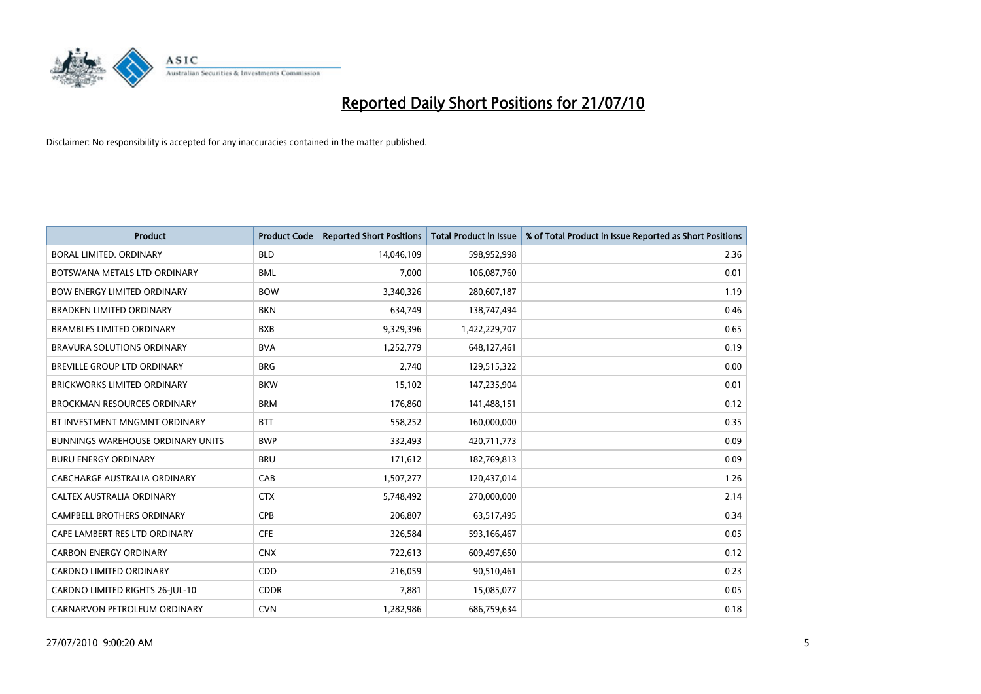

| <b>Product</b>                           | <b>Product Code</b> | <b>Reported Short Positions</b> | <b>Total Product in Issue</b> | % of Total Product in Issue Reported as Short Positions |
|------------------------------------------|---------------------|---------------------------------|-------------------------------|---------------------------------------------------------|
| <b>BORAL LIMITED, ORDINARY</b>           | <b>BLD</b>          | 14,046,109                      | 598,952,998                   | 2.36                                                    |
| BOTSWANA METALS LTD ORDINARY             | <b>BML</b>          | 7,000                           | 106,087,760                   | 0.01                                                    |
| <b>BOW ENERGY LIMITED ORDINARY</b>       | <b>BOW</b>          | 3,340,326                       | 280,607,187                   | 1.19                                                    |
| <b>BRADKEN LIMITED ORDINARY</b>          | <b>BKN</b>          | 634,749                         | 138,747,494                   | 0.46                                                    |
| <b>BRAMBLES LIMITED ORDINARY</b>         | <b>BXB</b>          | 9,329,396                       | 1,422,229,707                 | 0.65                                                    |
| <b>BRAVURA SOLUTIONS ORDINARY</b>        | <b>BVA</b>          | 1,252,779                       | 648,127,461                   | 0.19                                                    |
| BREVILLE GROUP LTD ORDINARY              | <b>BRG</b>          | 2,740                           | 129,515,322                   | 0.00                                                    |
| BRICKWORKS LIMITED ORDINARY              | <b>BKW</b>          | 15,102                          | 147,235,904                   | 0.01                                                    |
| <b>BROCKMAN RESOURCES ORDINARY</b>       | <b>BRM</b>          | 176,860                         | 141,488,151                   | 0.12                                                    |
| BT INVESTMENT MNGMNT ORDINARY            | <b>BTT</b>          | 558,252                         | 160,000,000                   | 0.35                                                    |
| <b>BUNNINGS WAREHOUSE ORDINARY UNITS</b> | <b>BWP</b>          | 332,493                         | 420,711,773                   | 0.09                                                    |
| <b>BURU ENERGY ORDINARY</b>              | <b>BRU</b>          | 171,612                         | 182,769,813                   | 0.09                                                    |
| CABCHARGE AUSTRALIA ORDINARY             | CAB                 | 1,507,277                       | 120,437,014                   | 1.26                                                    |
| CALTEX AUSTRALIA ORDINARY                | <b>CTX</b>          | 5,748,492                       | 270,000,000                   | 2.14                                                    |
| <b>CAMPBELL BROTHERS ORDINARY</b>        | <b>CPB</b>          | 206,807                         | 63,517,495                    | 0.34                                                    |
| CAPE LAMBERT RES LTD ORDINARY            | <b>CFE</b>          | 326,584                         | 593,166,467                   | 0.05                                                    |
| <b>CARBON ENERGY ORDINARY</b>            | <b>CNX</b>          | 722,613                         | 609,497,650                   | 0.12                                                    |
| CARDNO LIMITED ORDINARY                  | CDD                 | 216,059                         | 90,510,461                    | 0.23                                                    |
| CARDNO LIMITED RIGHTS 26-JUL-10          | <b>CDDR</b>         | 7,881                           | 15,085,077                    | 0.05                                                    |
| CARNARVON PETROLEUM ORDINARY             | <b>CVN</b>          | 1,282,986                       | 686,759,634                   | 0.18                                                    |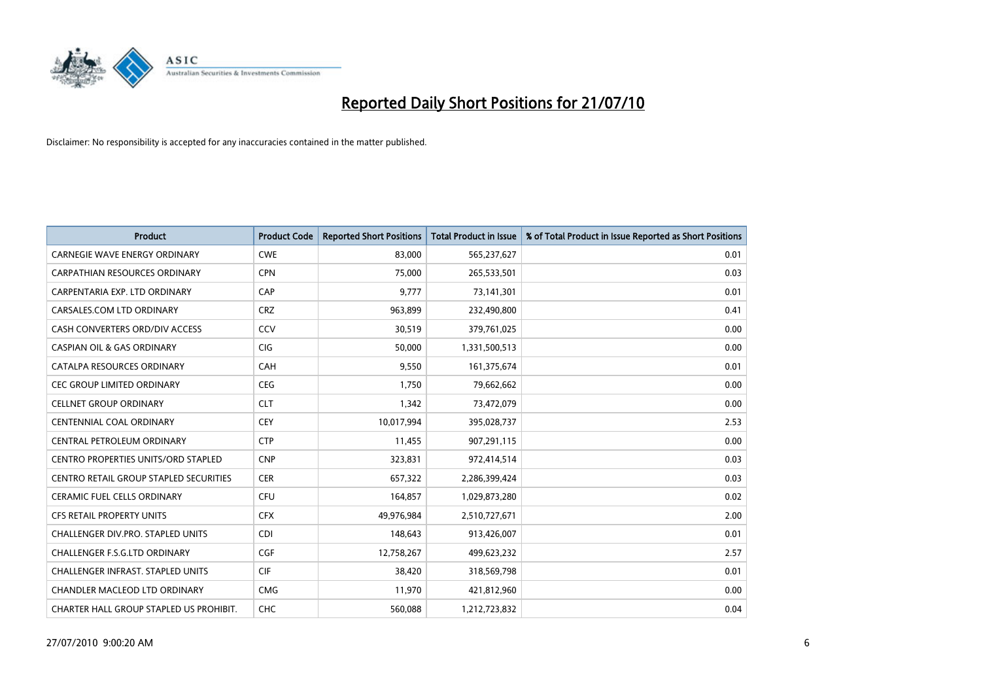

| <b>Product</b>                                | <b>Product Code</b> | <b>Reported Short Positions</b> | <b>Total Product in Issue</b> | % of Total Product in Issue Reported as Short Positions |
|-----------------------------------------------|---------------------|---------------------------------|-------------------------------|---------------------------------------------------------|
| <b>CARNEGIE WAVE ENERGY ORDINARY</b>          | <b>CWE</b>          | 83,000                          | 565,237,627                   | 0.01                                                    |
| <b>CARPATHIAN RESOURCES ORDINARY</b>          | <b>CPN</b>          | 75,000                          | 265,533,501                   | 0.03                                                    |
| CARPENTARIA EXP. LTD ORDINARY                 | CAP                 | 9,777                           | 73,141,301                    | 0.01                                                    |
| CARSALES.COM LTD ORDINARY                     | <b>CRZ</b>          | 963,899                         | 232,490,800                   | 0.41                                                    |
| CASH CONVERTERS ORD/DIV ACCESS                | CCV                 | 30,519                          | 379,761,025                   | 0.00                                                    |
| <b>CASPIAN OIL &amp; GAS ORDINARY</b>         | <b>CIG</b>          | 50,000                          | 1,331,500,513                 | 0.00                                                    |
| CATALPA RESOURCES ORDINARY                    | CAH                 | 9,550                           | 161,375,674                   | 0.01                                                    |
| <b>CEC GROUP LIMITED ORDINARY</b>             | <b>CEG</b>          | 1,750                           | 79,662,662                    | 0.00                                                    |
| <b>CELLNET GROUP ORDINARY</b>                 | <b>CLT</b>          | 1,342                           | 73,472,079                    | 0.00                                                    |
| <b>CENTENNIAL COAL ORDINARY</b>               | <b>CEY</b>          | 10,017,994                      | 395,028,737                   | 2.53                                                    |
| CENTRAL PETROLEUM ORDINARY                    | <b>CTP</b>          | 11,455                          | 907,291,115                   | 0.00                                                    |
| <b>CENTRO PROPERTIES UNITS/ORD STAPLED</b>    | <b>CNP</b>          | 323,831                         | 972,414,514                   | 0.03                                                    |
| <b>CENTRO RETAIL GROUP STAPLED SECURITIES</b> | <b>CER</b>          | 657,322                         | 2,286,399,424                 | 0.03                                                    |
| <b>CERAMIC FUEL CELLS ORDINARY</b>            | CFU                 | 164,857                         | 1,029,873,280                 | 0.02                                                    |
| CFS RETAIL PROPERTY UNITS                     | <b>CFX</b>          | 49,976,984                      | 2,510,727,671                 | 2.00                                                    |
| <b>CHALLENGER DIV.PRO. STAPLED UNITS</b>      | <b>CDI</b>          | 148,643                         | 913,426,007                   | 0.01                                                    |
| <b>CHALLENGER F.S.G.LTD ORDINARY</b>          | CGF                 | 12,758,267                      | 499,623,232                   | 2.57                                                    |
| CHALLENGER INFRAST. STAPLED UNITS             | <b>CIF</b>          | 38,420                          | 318,569,798                   | 0.01                                                    |
| <b>CHANDLER MACLEOD LTD ORDINARY</b>          | <b>CMG</b>          | 11,970                          | 421,812,960                   | 0.00                                                    |
| CHARTER HALL GROUP STAPLED US PROHIBIT.       | CHC                 | 560.088                         | 1,212,723,832                 | 0.04                                                    |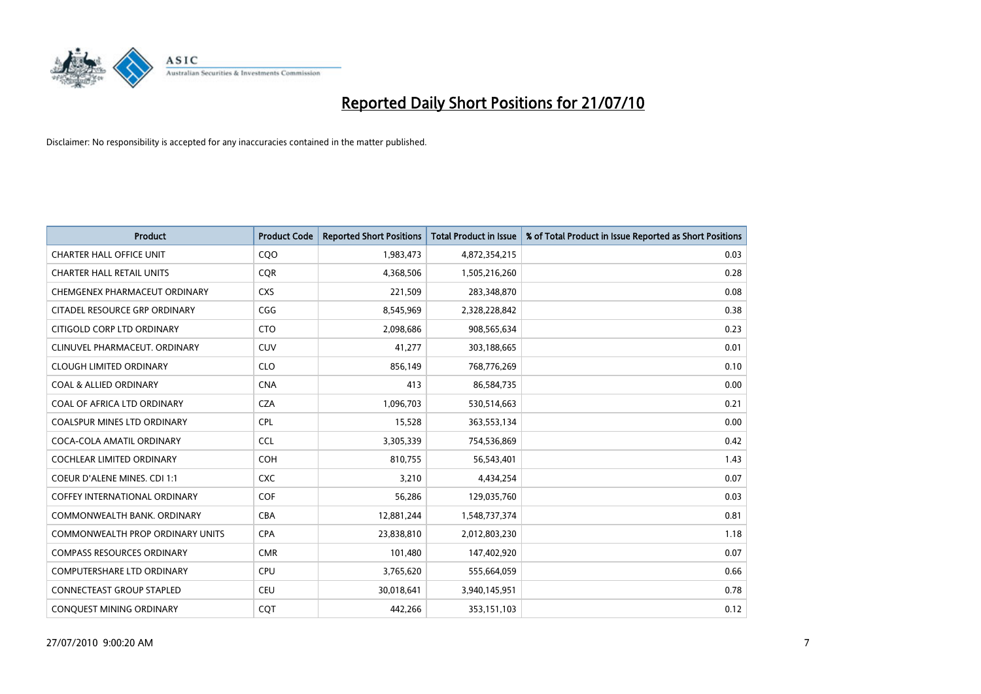

| <b>Product</b>                          | <b>Product Code</b> | <b>Reported Short Positions</b> | <b>Total Product in Issue</b> | % of Total Product in Issue Reported as Short Positions |
|-----------------------------------------|---------------------|---------------------------------|-------------------------------|---------------------------------------------------------|
| <b>CHARTER HALL OFFICE UNIT</b>         | COO                 | 1,983,473                       | 4,872,354,215                 | 0.03                                                    |
| <b>CHARTER HALL RETAIL UNITS</b>        | <b>CQR</b>          | 4,368,506                       | 1,505,216,260                 | 0.28                                                    |
| CHEMGENEX PHARMACEUT ORDINARY           | <b>CXS</b>          | 221,509                         | 283,348,870                   | 0.08                                                    |
| CITADEL RESOURCE GRP ORDINARY           | CGG                 | 8,545,969                       | 2,328,228,842                 | 0.38                                                    |
| CITIGOLD CORP LTD ORDINARY              | <b>CTO</b>          | 2,098,686                       | 908,565,634                   | 0.23                                                    |
| CLINUVEL PHARMACEUT, ORDINARY           | CUV                 | 41,277                          | 303,188,665                   | 0.01                                                    |
| <b>CLOUGH LIMITED ORDINARY</b>          | <b>CLO</b>          | 856,149                         | 768,776,269                   | 0.10                                                    |
| <b>COAL &amp; ALLIED ORDINARY</b>       | <b>CNA</b>          | 413                             | 86,584,735                    | 0.00                                                    |
| COAL OF AFRICA LTD ORDINARY             | <b>CZA</b>          | 1,096,703                       | 530,514,663                   | 0.21                                                    |
| COALSPUR MINES LTD ORDINARY             | <b>CPL</b>          | 15,528                          | 363,553,134                   | 0.00                                                    |
| COCA-COLA AMATIL ORDINARY               | <b>CCL</b>          | 3,305,339                       | 754,536,869                   | 0.42                                                    |
| <b>COCHLEAR LIMITED ORDINARY</b>        | <b>COH</b>          | 810,755                         | 56,543,401                    | 1.43                                                    |
| <b>COEUR D'ALENE MINES. CDI 1:1</b>     | <b>CXC</b>          | 3,210                           | 4,434,254                     | 0.07                                                    |
| <b>COFFEY INTERNATIONAL ORDINARY</b>    | <b>COF</b>          | 56,286                          | 129,035,760                   | 0.03                                                    |
| COMMONWEALTH BANK, ORDINARY             | CBA                 | 12,881,244                      | 1,548,737,374                 | 0.81                                                    |
| <b>COMMONWEALTH PROP ORDINARY UNITS</b> | <b>CPA</b>          | 23,838,810                      | 2,012,803,230                 | 1.18                                                    |
| <b>COMPASS RESOURCES ORDINARY</b>       | <b>CMR</b>          | 101,480                         | 147,402,920                   | 0.07                                                    |
| <b>COMPUTERSHARE LTD ORDINARY</b>       | CPU                 | 3,765,620                       | 555,664,059                   | 0.66                                                    |
| <b>CONNECTEAST GROUP STAPLED</b>        | <b>CEU</b>          | 30,018,641                      | 3,940,145,951                 | 0.78                                                    |
| CONQUEST MINING ORDINARY                | CQT                 | 442,266                         | 353,151,103                   | 0.12                                                    |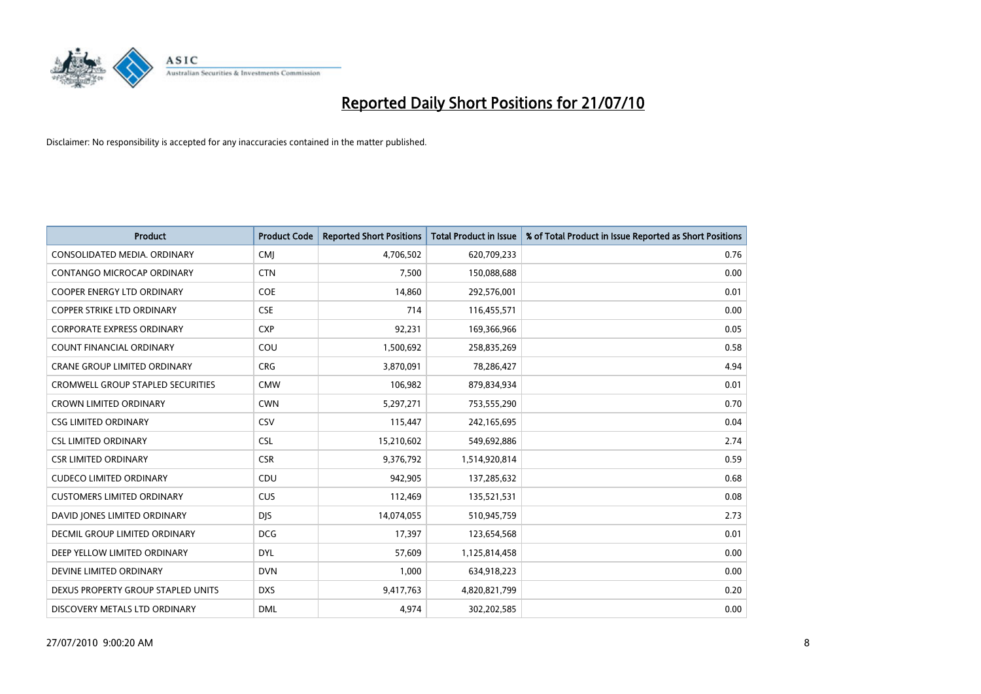

| <b>Product</b>                           | <b>Product Code</b> | <b>Reported Short Positions</b> | Total Product in Issue | % of Total Product in Issue Reported as Short Positions |
|------------------------------------------|---------------------|---------------------------------|------------------------|---------------------------------------------------------|
| CONSOLIDATED MEDIA, ORDINARY             | <b>CMJ</b>          | 4,706,502                       | 620,709,233            | 0.76                                                    |
| CONTANGO MICROCAP ORDINARY               | <b>CTN</b>          | 7,500                           | 150,088,688            | 0.00                                                    |
| <b>COOPER ENERGY LTD ORDINARY</b>        | <b>COE</b>          | 14,860                          | 292,576,001            | 0.01                                                    |
| COPPER STRIKE LTD ORDINARY               | <b>CSE</b>          | 714                             | 116,455,571            | 0.00                                                    |
| <b>CORPORATE EXPRESS ORDINARY</b>        | <b>CXP</b>          | 92,231                          | 169,366,966            | 0.05                                                    |
| <b>COUNT FINANCIAL ORDINARY</b>          | COU                 | 1,500,692                       | 258,835,269            | 0.58                                                    |
| <b>CRANE GROUP LIMITED ORDINARY</b>      | <b>CRG</b>          | 3,870,091                       | 78,286,427             | 4.94                                                    |
| <b>CROMWELL GROUP STAPLED SECURITIES</b> | <b>CMW</b>          | 106,982                         | 879,834,934            | 0.01                                                    |
| CROWN LIMITED ORDINARY                   | <b>CWN</b>          | 5,297,271                       | 753,555,290            | 0.70                                                    |
| <b>CSG LIMITED ORDINARY</b>              | CSV                 | 115,447                         | 242,165,695            | 0.04                                                    |
| <b>CSL LIMITED ORDINARY</b>              | <b>CSL</b>          | 15,210,602                      | 549,692,886            | 2.74                                                    |
| <b>CSR LIMITED ORDINARY</b>              | <b>CSR</b>          | 9,376,792                       | 1,514,920,814          | 0.59                                                    |
| <b>CUDECO LIMITED ORDINARY</b>           | CDU                 | 942.905                         | 137,285,632            | 0.68                                                    |
| <b>CUSTOMERS LIMITED ORDINARY</b>        | CUS                 | 112,469                         | 135,521,531            | 0.08                                                    |
| DAVID JONES LIMITED ORDINARY             | <b>DIS</b>          | 14,074,055                      | 510,945,759            | 2.73                                                    |
| DECMIL GROUP LIMITED ORDINARY            | <b>DCG</b>          | 17,397                          | 123,654,568            | 0.01                                                    |
| DEEP YELLOW LIMITED ORDINARY             | <b>DYL</b>          | 57,609                          | 1,125,814,458          | 0.00                                                    |
| DEVINE LIMITED ORDINARY                  | <b>DVN</b>          | 1,000                           | 634,918,223            | 0.00                                                    |
| DEXUS PROPERTY GROUP STAPLED UNITS       | <b>DXS</b>          | 9,417,763                       | 4,820,821,799          | 0.20                                                    |
| DISCOVERY METALS LTD ORDINARY            | <b>DML</b>          | 4,974                           | 302,202,585            | 0.00                                                    |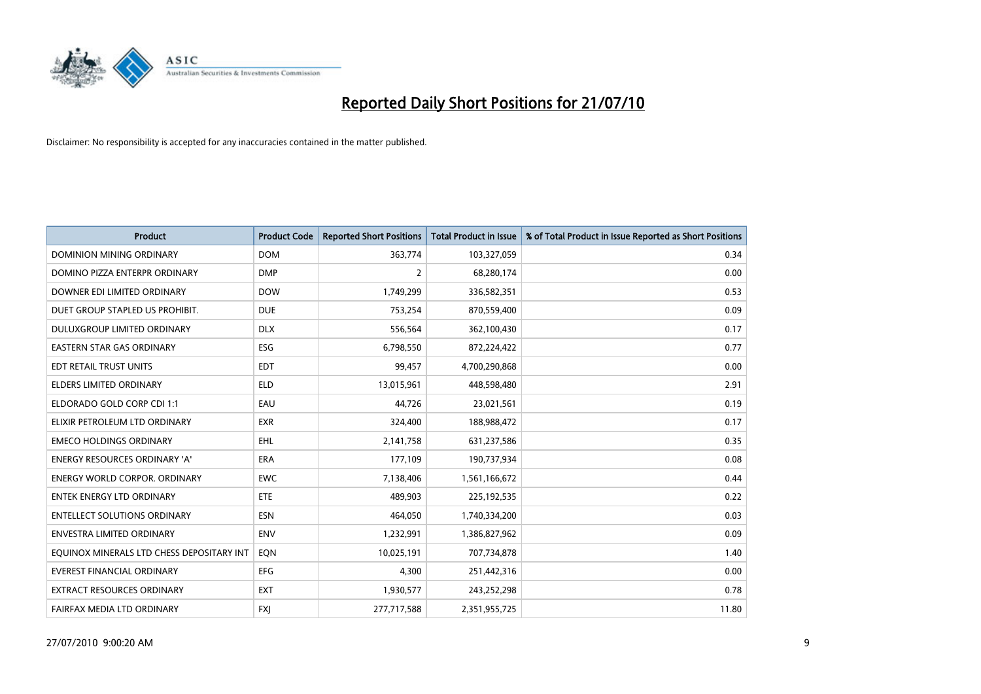

| <b>Product</b>                            | <b>Product Code</b> | <b>Reported Short Positions</b> | <b>Total Product in Issue</b> | % of Total Product in Issue Reported as Short Positions |
|-------------------------------------------|---------------------|---------------------------------|-------------------------------|---------------------------------------------------------|
| <b>DOMINION MINING ORDINARY</b>           | <b>DOM</b>          | 363,774                         | 103,327,059                   | 0.34                                                    |
| DOMINO PIZZA ENTERPR ORDINARY             | <b>DMP</b>          | 2                               | 68,280,174                    | 0.00                                                    |
| DOWNER EDI LIMITED ORDINARY               | <b>DOW</b>          | 1,749,299                       | 336,582,351                   | 0.53                                                    |
| DUET GROUP STAPLED US PROHIBIT.           | <b>DUE</b>          | 753,254                         | 870,559,400                   | 0.09                                                    |
| DULUXGROUP LIMITED ORDINARY               | <b>DLX</b>          | 556,564                         | 362,100,430                   | 0.17                                                    |
| <b>EASTERN STAR GAS ORDINARY</b>          | ESG                 | 6,798,550                       | 872,224,422                   | 0.77                                                    |
| EDT RETAIL TRUST UNITS                    | <b>EDT</b>          | 99,457                          | 4,700,290,868                 | 0.00                                                    |
| <b>ELDERS LIMITED ORDINARY</b>            | <b>ELD</b>          | 13,015,961                      | 448,598,480                   | 2.91                                                    |
| ELDORADO GOLD CORP CDI 1:1                | EAU                 | 44.726                          | 23,021,561                    | 0.19                                                    |
| ELIXIR PETROLEUM LTD ORDINARY             | <b>EXR</b>          | 324,400                         | 188,988,472                   | 0.17                                                    |
| <b>EMECO HOLDINGS ORDINARY</b>            | EHL                 | 2,141,758                       | 631,237,586                   | 0.35                                                    |
| <b>ENERGY RESOURCES ORDINARY 'A'</b>      | <b>ERA</b>          | 177,109                         | 190,737,934                   | 0.08                                                    |
| <b>ENERGY WORLD CORPOR. ORDINARY</b>      | <b>EWC</b>          | 7,138,406                       | 1,561,166,672                 | 0.44                                                    |
| <b>ENTEK ENERGY LTD ORDINARY</b>          | ETE                 | 489,903                         | 225,192,535                   | 0.22                                                    |
| <b>ENTELLECT SOLUTIONS ORDINARY</b>       | <b>ESN</b>          | 464.050                         | 1,740,334,200                 | 0.03                                                    |
| ENVESTRA LIMITED ORDINARY                 | <b>ENV</b>          | 1,232,991                       | 1,386,827,962                 | 0.09                                                    |
| EQUINOX MINERALS LTD CHESS DEPOSITARY INT | EON                 | 10,025,191                      | 707,734,878                   | 1.40                                                    |
| <b>EVEREST FINANCIAL ORDINARY</b>         | <b>EFG</b>          | 4,300                           | 251,442,316                   | 0.00                                                    |
| <b>EXTRACT RESOURCES ORDINARY</b>         | <b>EXT</b>          | 1,930,577                       | 243,252,298                   | 0.78                                                    |
| FAIRFAX MEDIA LTD ORDINARY                | <b>FXI</b>          | 277,717,588                     | 2,351,955,725                 | 11.80                                                   |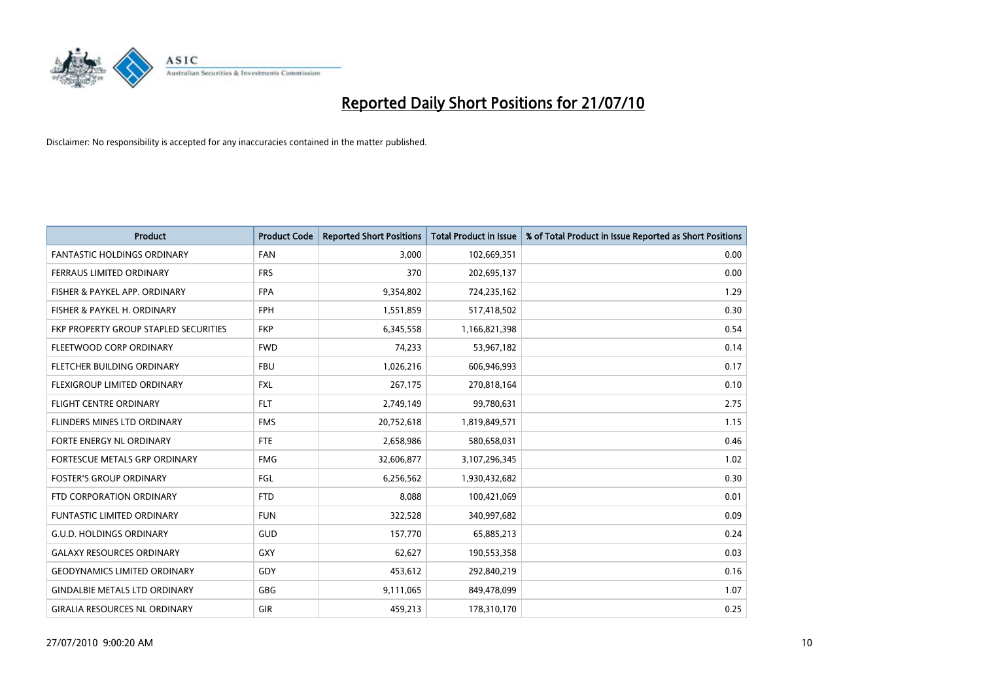

| <b>Product</b>                        | <b>Product Code</b> | <b>Reported Short Positions</b> | <b>Total Product in Issue</b> | % of Total Product in Issue Reported as Short Positions |
|---------------------------------------|---------------------|---------------------------------|-------------------------------|---------------------------------------------------------|
| <b>FANTASTIC HOLDINGS ORDINARY</b>    | <b>FAN</b>          | 3,000                           | 102,669,351                   | 0.00                                                    |
| FERRAUS LIMITED ORDINARY              | <b>FRS</b>          | 370                             | 202,695,137                   | 0.00                                                    |
| FISHER & PAYKEL APP. ORDINARY         | <b>FPA</b>          | 9,354,802                       | 724,235,162                   | 1.29                                                    |
| FISHER & PAYKEL H. ORDINARY           | <b>FPH</b>          | 1,551,859                       | 517,418,502                   | 0.30                                                    |
| FKP PROPERTY GROUP STAPLED SECURITIES | <b>FKP</b>          | 6,345,558                       | 1,166,821,398                 | 0.54                                                    |
| FLEETWOOD CORP ORDINARY               | <b>FWD</b>          | 74,233                          | 53,967,182                    | 0.14                                                    |
| <b>FLETCHER BUILDING ORDINARY</b>     | <b>FBU</b>          | 1,026,216                       | 606,946,993                   | 0.17                                                    |
| FLEXIGROUP LIMITED ORDINARY           | <b>FXL</b>          | 267,175                         | 270,818,164                   | 0.10                                                    |
| <b>FLIGHT CENTRE ORDINARY</b>         | <b>FLT</b>          | 2,749,149                       | 99,780,631                    | 2.75                                                    |
| FLINDERS MINES LTD ORDINARY           | <b>FMS</b>          | 20,752,618                      | 1,819,849,571                 | 1.15                                                    |
| FORTE ENERGY NL ORDINARY              | <b>FTE</b>          | 2,658,986                       | 580,658,031                   | 0.46                                                    |
| <b>FORTESCUE METALS GRP ORDINARY</b>  | <b>FMG</b>          | 32,606,877                      | 3,107,296,345                 | 1.02                                                    |
| <b>FOSTER'S GROUP ORDINARY</b>        | FGL                 | 6,256,562                       | 1,930,432,682                 | 0.30                                                    |
| FTD CORPORATION ORDINARY              | <b>FTD</b>          | 8,088                           | 100,421,069                   | 0.01                                                    |
| <b>FUNTASTIC LIMITED ORDINARY</b>     | <b>FUN</b>          | 322,528                         | 340,997,682                   | 0.09                                                    |
| <b>G.U.D. HOLDINGS ORDINARY</b>       | <b>GUD</b>          | 157,770                         | 65,885,213                    | 0.24                                                    |
| <b>GALAXY RESOURCES ORDINARY</b>      | <b>GXY</b>          | 62,627                          | 190,553,358                   | 0.03                                                    |
| <b>GEODYNAMICS LIMITED ORDINARY</b>   | GDY                 | 453,612                         | 292,840,219                   | 0.16                                                    |
| <b>GINDALBIE METALS LTD ORDINARY</b>  | <b>GBG</b>          | 9,111,065                       | 849,478,099                   | 1.07                                                    |
| <b>GIRALIA RESOURCES NL ORDINARY</b>  | GIR                 | 459,213                         | 178,310,170                   | 0.25                                                    |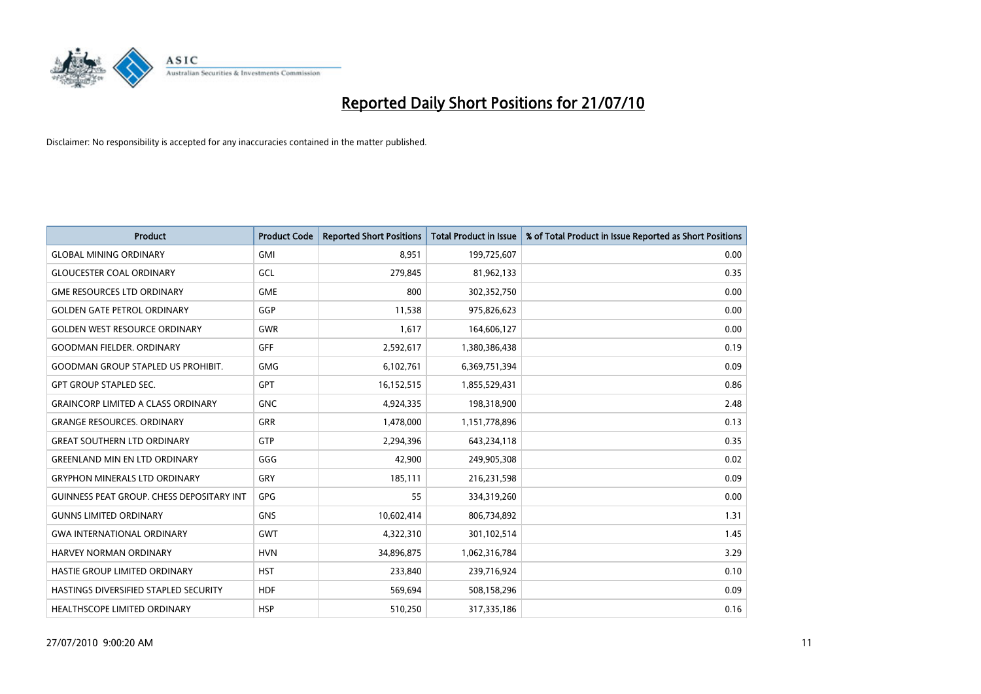

| <b>Product</b>                                   | <b>Product Code</b> | <b>Reported Short Positions</b> | <b>Total Product in Issue</b> | % of Total Product in Issue Reported as Short Positions |
|--------------------------------------------------|---------------------|---------------------------------|-------------------------------|---------------------------------------------------------|
| <b>GLOBAL MINING ORDINARY</b>                    | <b>GMI</b>          | 8.951                           | 199,725,607                   | 0.00                                                    |
| <b>GLOUCESTER COAL ORDINARY</b>                  | GCL                 | 279,845                         | 81,962,133                    | 0.35                                                    |
| <b>GME RESOURCES LTD ORDINARY</b>                | <b>GME</b>          | 800                             | 302,352,750                   | 0.00                                                    |
| <b>GOLDEN GATE PETROL ORDINARY</b>               | GGP                 | 11,538                          | 975,826,623                   | 0.00                                                    |
| <b>GOLDEN WEST RESOURCE ORDINARY</b>             | <b>GWR</b>          | 1,617                           | 164,606,127                   | 0.00                                                    |
| <b>GOODMAN FIELDER, ORDINARY</b>                 | <b>GFF</b>          | 2,592,617                       | 1,380,386,438                 | 0.19                                                    |
| <b>GOODMAN GROUP STAPLED US PROHIBIT.</b>        | <b>GMG</b>          | 6,102,761                       | 6,369,751,394                 | 0.09                                                    |
| <b>GPT GROUP STAPLED SEC.</b>                    | <b>GPT</b>          | 16,152,515                      | 1,855,529,431                 | 0.86                                                    |
| <b>GRAINCORP LIMITED A CLASS ORDINARY</b>        | <b>GNC</b>          | 4,924,335                       | 198,318,900                   | 2.48                                                    |
| <b>GRANGE RESOURCES, ORDINARY</b>                | GRR                 | 1,478,000                       | 1,151,778,896                 | 0.13                                                    |
| <b>GREAT SOUTHERN LTD ORDINARY</b>               | <b>GTP</b>          | 2,294,396                       | 643,234,118                   | 0.35                                                    |
| <b>GREENLAND MIN EN LTD ORDINARY</b>             | GGG                 | 42,900                          | 249,905,308                   | 0.02                                                    |
| <b>GRYPHON MINERALS LTD ORDINARY</b>             | GRY                 | 185,111                         | 216,231,598                   | 0.09                                                    |
| <b>GUINNESS PEAT GROUP. CHESS DEPOSITARY INT</b> | <b>GPG</b>          | 55                              | 334,319,260                   | 0.00                                                    |
| <b>GUNNS LIMITED ORDINARY</b>                    | <b>GNS</b>          | 10,602,414                      | 806,734,892                   | 1.31                                                    |
| <b>GWA INTERNATIONAL ORDINARY</b>                | <b>GWT</b>          | 4,322,310                       | 301,102,514                   | 1.45                                                    |
| HARVEY NORMAN ORDINARY                           | <b>HVN</b>          | 34,896,875                      | 1,062,316,784                 | 3.29                                                    |
| HASTIE GROUP LIMITED ORDINARY                    | <b>HST</b>          | 233,840                         | 239,716,924                   | 0.10                                                    |
| HASTINGS DIVERSIFIED STAPLED SECURITY            | <b>HDF</b>          | 569,694                         | 508,158,296                   | 0.09                                                    |
| HEALTHSCOPE LIMITED ORDINARY                     | <b>HSP</b>          | 510,250                         | 317,335,186                   | 0.16                                                    |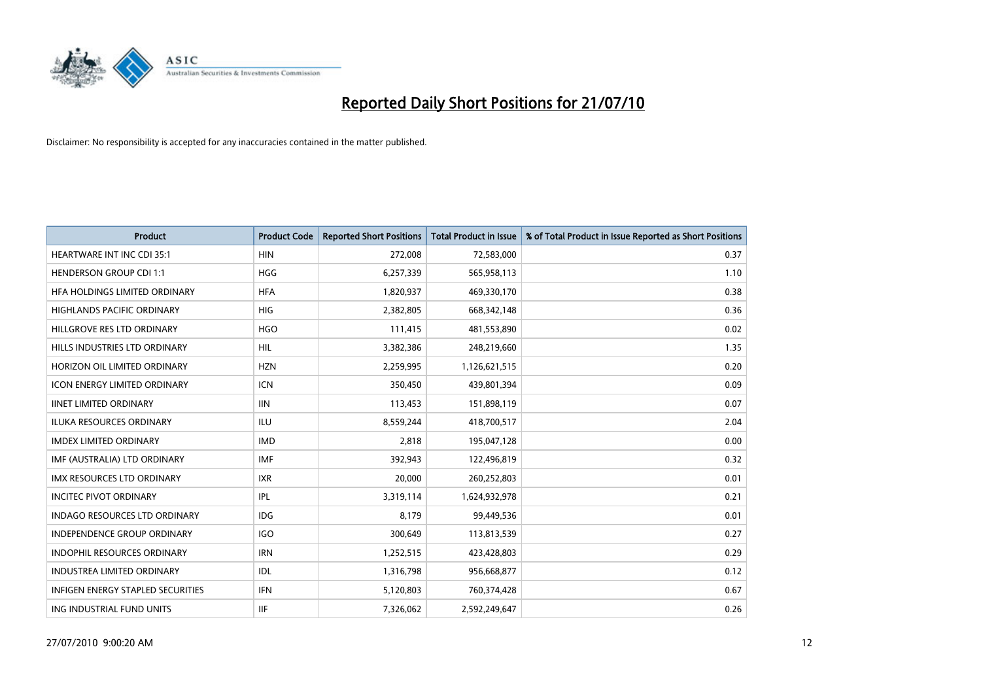

| <b>Product</b>                           | <b>Product Code</b> | <b>Reported Short Positions</b> | Total Product in Issue | % of Total Product in Issue Reported as Short Positions |
|------------------------------------------|---------------------|---------------------------------|------------------------|---------------------------------------------------------|
| <b>HEARTWARE INT INC CDI 35:1</b>        | <b>HIN</b>          | 272,008                         | 72,583,000             | 0.37                                                    |
| <b>HENDERSON GROUP CDI 1:1</b>           | HGG                 | 6,257,339                       | 565,958,113            | 1.10                                                    |
| HEA HOLDINGS LIMITED ORDINARY            | <b>HFA</b>          | 1,820,937                       | 469,330,170            | 0.38                                                    |
| HIGHLANDS PACIFIC ORDINARY               | <b>HIG</b>          | 2,382,805                       | 668,342,148            | 0.36                                                    |
| HILLGROVE RES LTD ORDINARY               | <b>HGO</b>          | 111,415                         | 481,553,890            | 0.02                                                    |
| HILLS INDUSTRIES LTD ORDINARY            | <b>HIL</b>          | 3,382,386                       | 248,219,660            | 1.35                                                    |
| HORIZON OIL LIMITED ORDINARY             | <b>HZN</b>          | 2,259,995                       | 1,126,621,515          | 0.20                                                    |
| <b>ICON ENERGY LIMITED ORDINARY</b>      | <b>ICN</b>          | 350,450                         | 439,801,394            | 0.09                                                    |
| <b>IINET LIMITED ORDINARY</b>            | <b>IIN</b>          | 113,453                         | 151,898,119            | 0.07                                                    |
| <b>ILUKA RESOURCES ORDINARY</b>          | <b>ILU</b>          | 8,559,244                       | 418,700,517            | 2.04                                                    |
| <b>IMDEX LIMITED ORDINARY</b>            | <b>IMD</b>          | 2,818                           | 195,047,128            | 0.00                                                    |
| IMF (AUSTRALIA) LTD ORDINARY             | <b>IMF</b>          | 392,943                         | 122,496,819            | 0.32                                                    |
| IMX RESOURCES LTD ORDINARY               | <b>IXR</b>          | 20,000                          | 260,252,803            | 0.01                                                    |
| <b>INCITEC PIVOT ORDINARY</b>            | IPL                 | 3,319,114                       | 1,624,932,978          | 0.21                                                    |
| <b>INDAGO RESOURCES LTD ORDINARY</b>     | <b>IDG</b>          | 8.179                           | 99,449,536             | 0.01                                                    |
| <b>INDEPENDENCE GROUP ORDINARY</b>       | <b>IGO</b>          | 300,649                         | 113,813,539            | 0.27                                                    |
| INDOPHIL RESOURCES ORDINARY              | <b>IRN</b>          | 1,252,515                       | 423,428,803            | 0.29                                                    |
| <b>INDUSTREA LIMITED ORDINARY</b>        | IDL                 | 1,316,798                       | 956,668,877            | 0.12                                                    |
| <b>INFIGEN ENERGY STAPLED SECURITIES</b> | <b>IFN</b>          | 5,120,803                       | 760,374,428            | 0.67                                                    |
| ING INDUSTRIAL FUND UNITS                | <b>IIF</b>          | 7,326,062                       | 2,592,249,647          | 0.26                                                    |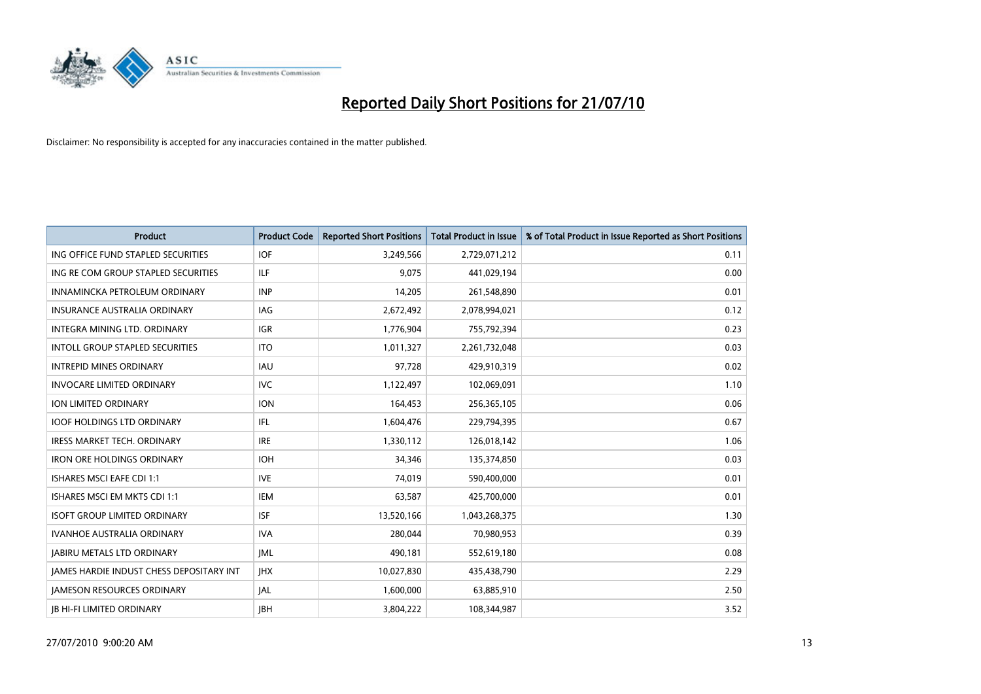

| <b>Product</b>                                  | <b>Product Code</b> | <b>Reported Short Positions</b> | Total Product in Issue | % of Total Product in Issue Reported as Short Positions |
|-------------------------------------------------|---------------------|---------------------------------|------------------------|---------------------------------------------------------|
| ING OFFICE FUND STAPLED SECURITIES              | <b>IOF</b>          | 3,249,566                       | 2,729,071,212          | 0.11                                                    |
| ING RE COM GROUP STAPLED SECURITIES             | <b>ILF</b>          | 9.075                           | 441,029,194            | 0.00                                                    |
| INNAMINCKA PETROLEUM ORDINARY                   | <b>INP</b>          | 14,205                          | 261,548,890            | 0.01                                                    |
| INSURANCE AUSTRALIA ORDINARY                    | IAG                 | 2,672,492                       | 2,078,994,021          | 0.12                                                    |
| <b>INTEGRA MINING LTD, ORDINARY</b>             | <b>IGR</b>          | 1,776,904                       | 755,792,394            | 0.23                                                    |
| <b>INTOLL GROUP STAPLED SECURITIES</b>          | <b>ITO</b>          | 1,011,327                       | 2,261,732,048          | 0.03                                                    |
| <b>INTREPID MINES ORDINARY</b>                  | <b>IAU</b>          | 97,728                          | 429,910,319            | 0.02                                                    |
| <b>INVOCARE LIMITED ORDINARY</b>                | <b>IVC</b>          | 1,122,497                       | 102,069,091            | 1.10                                                    |
| ION LIMITED ORDINARY                            | <b>ION</b>          | 164,453                         | 256,365,105            | 0.06                                                    |
| <b>IOOF HOLDINGS LTD ORDINARY</b>               | <b>IFL</b>          | 1,604,476                       | 229,794,395            | 0.67                                                    |
| <b>IRESS MARKET TECH. ORDINARY</b>              | <b>IRE</b>          | 1,330,112                       | 126,018,142            | 1.06                                                    |
| <b>IRON ORE HOLDINGS ORDINARY</b>               | <b>IOH</b>          | 34,346                          | 135,374,850            | 0.03                                                    |
| <b>ISHARES MSCI EAFE CDI 1:1</b>                | <b>IVE</b>          | 74.019                          | 590,400,000            | 0.01                                                    |
| ISHARES MSCI EM MKTS CDI 1:1                    | <b>IEM</b>          | 63,587                          | 425,700,000            | 0.01                                                    |
| <b>ISOFT GROUP LIMITED ORDINARY</b>             | <b>ISF</b>          | 13,520,166                      | 1,043,268,375          | 1.30                                                    |
| <b>IVANHOE AUSTRALIA ORDINARY</b>               | <b>IVA</b>          | 280.044                         | 70,980,953             | 0.39                                                    |
| <b>JABIRU METALS LTD ORDINARY</b>               | <b>JML</b>          | 490,181                         | 552,619,180            | 0.08                                                    |
| <b>JAMES HARDIE INDUST CHESS DEPOSITARY INT</b> | <b>IHX</b>          | 10,027,830                      | 435,438,790            | 2.29                                                    |
| <b>IAMESON RESOURCES ORDINARY</b>               | <b>JAL</b>          | 1,600,000                       | 63,885,910             | 2.50                                                    |
| <b>IB HI-FI LIMITED ORDINARY</b>                | <b>IBH</b>          | 3,804,222                       | 108,344,987            | 3.52                                                    |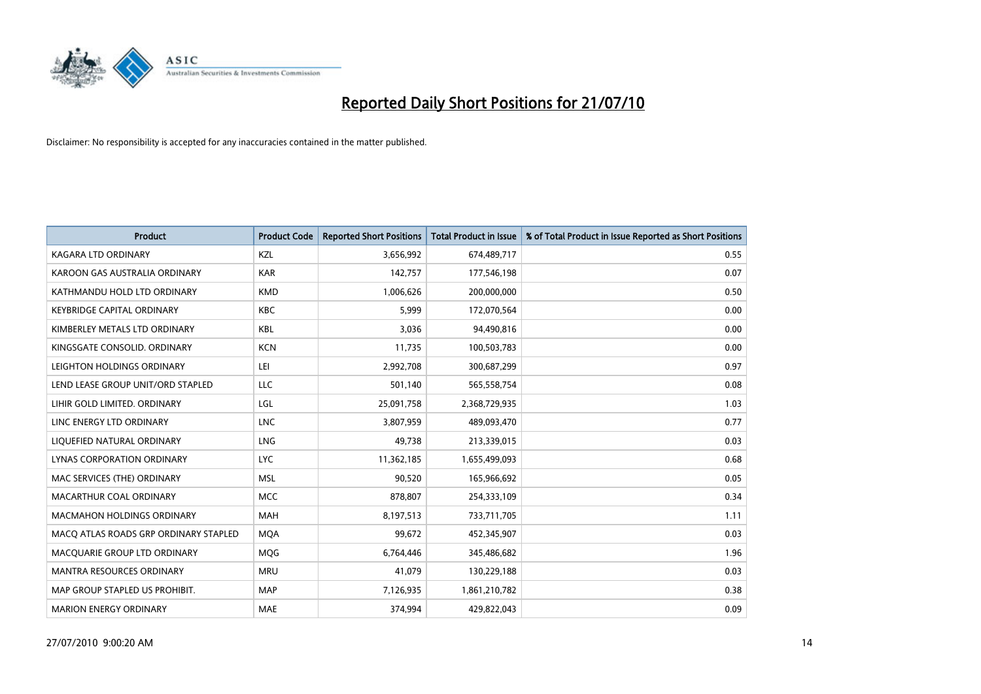

| <b>Product</b>                        | <b>Product Code</b> | <b>Reported Short Positions</b> | <b>Total Product in Issue</b> | % of Total Product in Issue Reported as Short Positions |
|---------------------------------------|---------------------|---------------------------------|-------------------------------|---------------------------------------------------------|
| <b>KAGARA LTD ORDINARY</b>            | KZL                 | 3,656,992                       | 674,489,717                   | 0.55                                                    |
| KAROON GAS AUSTRALIA ORDINARY         | <b>KAR</b>          | 142,757                         | 177,546,198                   | 0.07                                                    |
| KATHMANDU HOLD LTD ORDINARY           | <b>KMD</b>          | 1,006,626                       | 200,000,000                   | 0.50                                                    |
| <b>KEYBRIDGE CAPITAL ORDINARY</b>     | <b>KBC</b>          | 5,999                           | 172,070,564                   | 0.00                                                    |
| KIMBERLEY METALS LTD ORDINARY         | <b>KBL</b>          | 3,036                           | 94,490,816                    | 0.00                                                    |
| KINGSGATE CONSOLID, ORDINARY          | <b>KCN</b>          | 11,735                          | 100,503,783                   | 0.00                                                    |
| LEIGHTON HOLDINGS ORDINARY            | LEI                 | 2,992,708                       | 300,687,299                   | 0.97                                                    |
| LEND LEASE GROUP UNIT/ORD STAPLED     | LLC                 | 501,140                         | 565,558,754                   | 0.08                                                    |
| LIHIR GOLD LIMITED. ORDINARY          | LGL                 | 25,091,758                      | 2,368,729,935                 | 1.03                                                    |
| LINC ENERGY LTD ORDINARY              | <b>LNC</b>          | 3,807,959                       | 489,093,470                   | 0.77                                                    |
| LIQUEFIED NATURAL ORDINARY            | LNG                 | 49,738                          | 213,339,015                   | 0.03                                                    |
| LYNAS CORPORATION ORDINARY            | <b>LYC</b>          | 11,362,185                      | 1,655,499,093                 | 0.68                                                    |
| MAC SERVICES (THE) ORDINARY           | <b>MSL</b>          | 90,520                          | 165,966,692                   | 0.05                                                    |
| MACARTHUR COAL ORDINARY               | <b>MCC</b>          | 878,807                         | 254,333,109                   | 0.34                                                    |
| <b>MACMAHON HOLDINGS ORDINARY</b>     | <b>MAH</b>          | 8,197,513                       | 733,711,705                   | 1.11                                                    |
| MACO ATLAS ROADS GRP ORDINARY STAPLED | <b>MOA</b>          | 99,672                          | 452,345,907                   | 0.03                                                    |
| MACQUARIE GROUP LTD ORDINARY          | <b>MQG</b>          | 6,764,446                       | 345,486,682                   | 1.96                                                    |
| <b>MANTRA RESOURCES ORDINARY</b>      | <b>MRU</b>          | 41,079                          | 130,229,188                   | 0.03                                                    |
| MAP GROUP STAPLED US PROHIBIT.        | <b>MAP</b>          | 7,126,935                       | 1,861,210,782                 | 0.38                                                    |
| <b>MARION ENERGY ORDINARY</b>         | MAE                 | 374,994                         | 429,822,043                   | 0.09                                                    |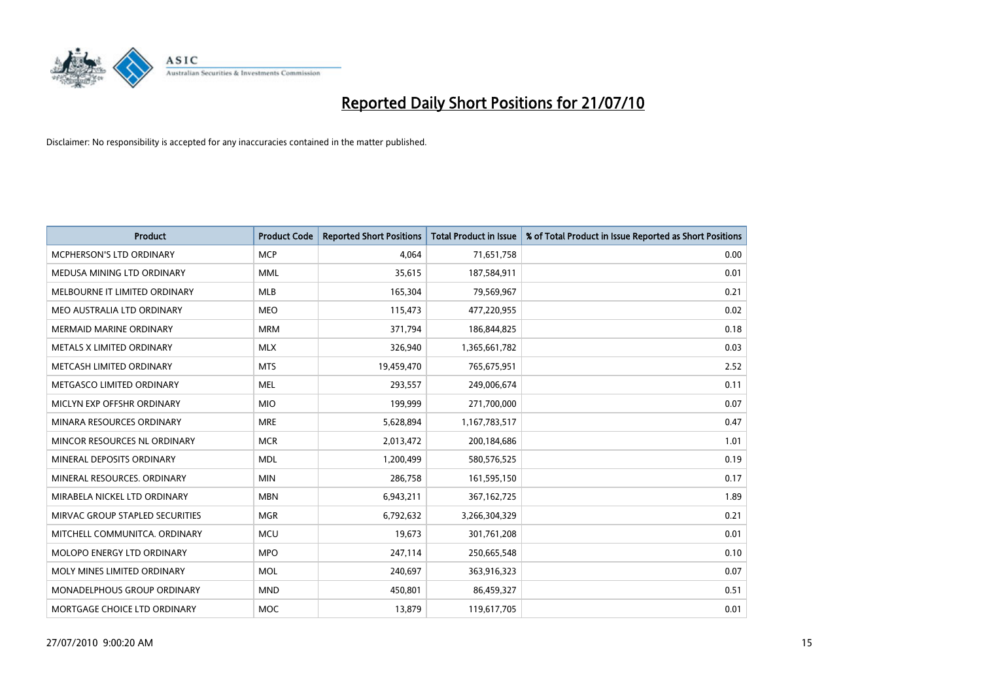

| <b>Product</b>                     | <b>Product Code</b> | <b>Reported Short Positions</b> | <b>Total Product in Issue</b> | % of Total Product in Issue Reported as Short Positions |
|------------------------------------|---------------------|---------------------------------|-------------------------------|---------------------------------------------------------|
| <b>MCPHERSON'S LTD ORDINARY</b>    | <b>MCP</b>          | 4,064                           | 71,651,758                    | 0.00                                                    |
| MEDUSA MINING LTD ORDINARY         | <b>MML</b>          | 35,615                          | 187,584,911                   | 0.01                                                    |
| MELBOURNE IT LIMITED ORDINARY      | <b>MLB</b>          | 165,304                         | 79,569,967                    | 0.21                                                    |
| MEO AUSTRALIA LTD ORDINARY         | <b>MEO</b>          | 115,473                         | 477,220,955                   | 0.02                                                    |
| <b>MERMAID MARINE ORDINARY</b>     | <b>MRM</b>          | 371,794                         | 186,844,825                   | 0.18                                                    |
| METALS X LIMITED ORDINARY          | <b>MLX</b>          | 326,940                         | 1,365,661,782                 | 0.03                                                    |
| METCASH LIMITED ORDINARY           | <b>MTS</b>          | 19,459,470                      | 765,675,951                   | 2.52                                                    |
| METGASCO LIMITED ORDINARY          | <b>MEL</b>          | 293,557                         | 249,006,674                   | 0.11                                                    |
| MICLYN EXP OFFSHR ORDINARY         | <b>MIO</b>          | 199,999                         | 271,700,000                   | 0.07                                                    |
| MINARA RESOURCES ORDINARY          | <b>MRE</b>          | 5,628,894                       | 1,167,783,517                 | 0.47                                                    |
| MINCOR RESOURCES NL ORDINARY       | <b>MCR</b>          | 2,013,472                       | 200,184,686                   | 1.01                                                    |
| MINERAL DEPOSITS ORDINARY          | <b>MDL</b>          | 1,200,499                       | 580,576,525                   | 0.19                                                    |
| MINERAL RESOURCES. ORDINARY        | <b>MIN</b>          | 286,758                         | 161,595,150                   | 0.17                                                    |
| MIRABELA NICKEL LTD ORDINARY       | <b>MBN</b>          | 6,943,211                       | 367,162,725                   | 1.89                                                    |
| MIRVAC GROUP STAPLED SECURITIES    | <b>MGR</b>          | 6,792,632                       | 3,266,304,329                 | 0.21                                                    |
| MITCHELL COMMUNITCA. ORDINARY      | <b>MCU</b>          | 19,673                          | 301,761,208                   | 0.01                                                    |
| MOLOPO ENERGY LTD ORDINARY         | <b>MPO</b>          | 247,114                         | 250,665,548                   | 0.10                                                    |
| MOLY MINES LIMITED ORDINARY        | <b>MOL</b>          | 240,697                         | 363,916,323                   | 0.07                                                    |
| <b>MONADELPHOUS GROUP ORDINARY</b> | <b>MND</b>          | 450,801                         | 86,459,327                    | 0.51                                                    |
| MORTGAGE CHOICE LTD ORDINARY       | <b>MOC</b>          | 13,879                          | 119,617,705                   | 0.01                                                    |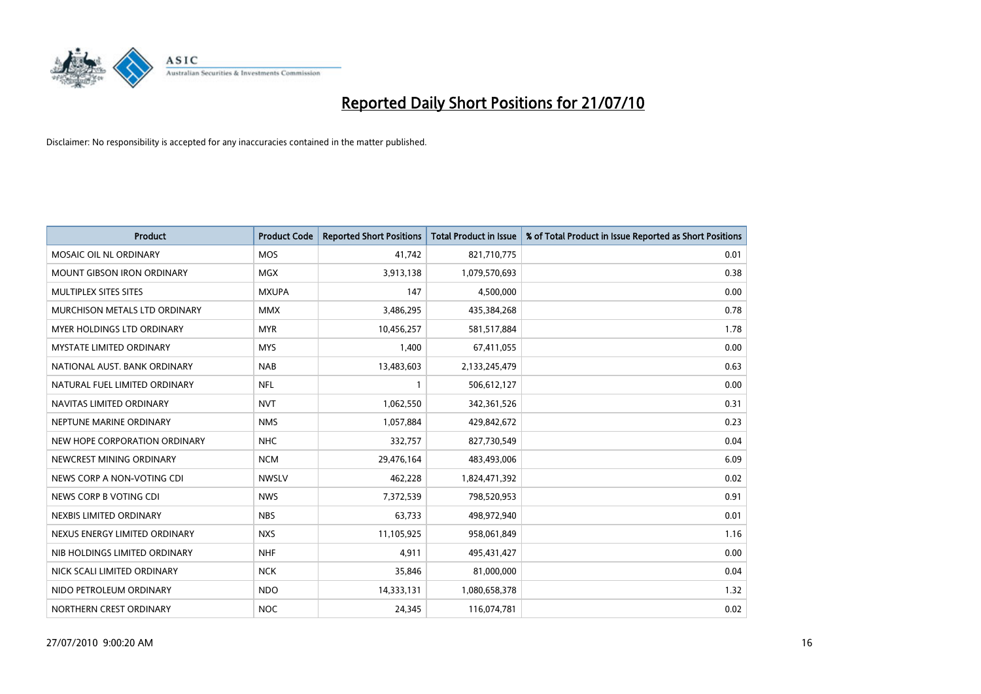

| <b>Product</b>                    | <b>Product Code</b> | <b>Reported Short Positions</b> | <b>Total Product in Issue</b> | % of Total Product in Issue Reported as Short Positions |
|-----------------------------------|---------------------|---------------------------------|-------------------------------|---------------------------------------------------------|
| MOSAIC OIL NL ORDINARY            | <b>MOS</b>          | 41,742                          | 821,710,775                   | 0.01                                                    |
| <b>MOUNT GIBSON IRON ORDINARY</b> | <b>MGX</b>          | 3,913,138                       | 1,079,570,693                 | 0.38                                                    |
| MULTIPLEX SITES SITES             | <b>MXUPA</b>        | 147                             | 4,500,000                     | 0.00                                                    |
| MURCHISON METALS LTD ORDINARY     | <b>MMX</b>          | 3,486,295                       | 435,384,268                   | 0.78                                                    |
| <b>MYER HOLDINGS LTD ORDINARY</b> | <b>MYR</b>          | 10,456,257                      | 581,517,884                   | 1.78                                                    |
| <b>MYSTATE LIMITED ORDINARY</b>   | <b>MYS</b>          | 1,400                           | 67,411,055                    | 0.00                                                    |
| NATIONAL AUST. BANK ORDINARY      | <b>NAB</b>          | 13,483,603                      | 2,133,245,479                 | 0.63                                                    |
| NATURAL FUEL LIMITED ORDINARY     | <b>NFL</b>          |                                 | 506,612,127                   | 0.00                                                    |
| NAVITAS LIMITED ORDINARY          | <b>NVT</b>          | 1,062,550                       | 342,361,526                   | 0.31                                                    |
| NEPTUNE MARINE ORDINARY           | <b>NMS</b>          | 1,057,884                       | 429,842,672                   | 0.23                                                    |
| NEW HOPE CORPORATION ORDINARY     | <b>NHC</b>          | 332,757                         | 827,730,549                   | 0.04                                                    |
| NEWCREST MINING ORDINARY          | <b>NCM</b>          | 29,476,164                      | 483,493,006                   | 6.09                                                    |
| NEWS CORP A NON-VOTING CDI        | <b>NWSLV</b>        | 462,228                         | 1,824,471,392                 | 0.02                                                    |
| NEWS CORP B VOTING CDI            | <b>NWS</b>          | 7,372,539                       | 798,520,953                   | 0.91                                                    |
| NEXBIS LIMITED ORDINARY           | <b>NBS</b>          | 63,733                          | 498,972,940                   | 0.01                                                    |
| NEXUS ENERGY LIMITED ORDINARY     | <b>NXS</b>          | 11,105,925                      | 958,061,849                   | 1.16                                                    |
| NIB HOLDINGS LIMITED ORDINARY     | <b>NHF</b>          | 4,911                           | 495,431,427                   | 0.00                                                    |
| NICK SCALI LIMITED ORDINARY       | <b>NCK</b>          | 35,846                          | 81,000,000                    | 0.04                                                    |
| NIDO PETROLEUM ORDINARY           | <b>NDO</b>          | 14,333,131                      | 1,080,658,378                 | 1.32                                                    |
| NORTHERN CREST ORDINARY           | <b>NOC</b>          | 24,345                          | 116,074,781                   | 0.02                                                    |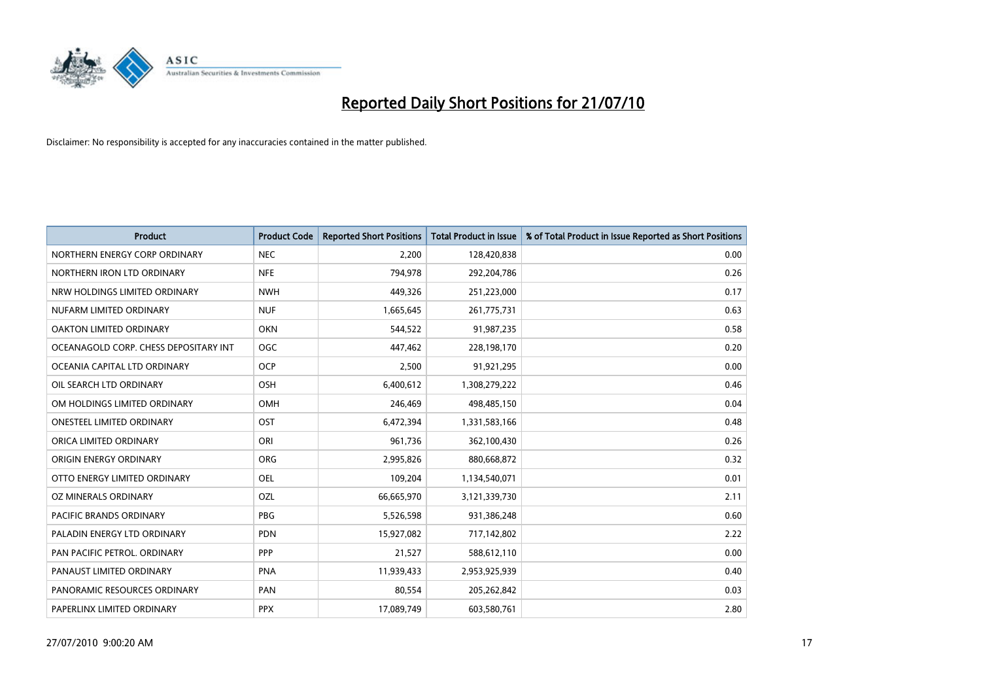

| <b>Product</b>                        | <b>Product Code</b> | <b>Reported Short Positions</b> | <b>Total Product in Issue</b> | % of Total Product in Issue Reported as Short Positions |
|---------------------------------------|---------------------|---------------------------------|-------------------------------|---------------------------------------------------------|
| NORTHERN ENERGY CORP ORDINARY         | <b>NEC</b>          | 2,200                           | 128,420,838                   | 0.00                                                    |
| NORTHERN IRON LTD ORDINARY            | <b>NFE</b>          | 794,978                         | 292,204,786                   | 0.26                                                    |
| NRW HOLDINGS LIMITED ORDINARY         | <b>NWH</b>          | 449,326                         | 251,223,000                   | 0.17                                                    |
| NUFARM LIMITED ORDINARY               | <b>NUF</b>          | 1,665,645                       | 261,775,731                   | 0.63                                                    |
| OAKTON LIMITED ORDINARY               | <b>OKN</b>          | 544,522                         | 91,987,235                    | 0.58                                                    |
| OCEANAGOLD CORP. CHESS DEPOSITARY INT | <b>OGC</b>          | 447,462                         | 228,198,170                   | 0.20                                                    |
| OCEANIA CAPITAL LTD ORDINARY          | <b>OCP</b>          | 2,500                           | 91,921,295                    | 0.00                                                    |
| OIL SEARCH LTD ORDINARY               | <b>OSH</b>          | 6,400,612                       | 1,308,279,222                 | 0.46                                                    |
| OM HOLDINGS LIMITED ORDINARY          | <b>OMH</b>          | 246,469                         | 498,485,150                   | 0.04                                                    |
| <b>ONESTEEL LIMITED ORDINARY</b>      | OST                 | 6,472,394                       | 1,331,583,166                 | 0.48                                                    |
| ORICA LIMITED ORDINARY                | ORI                 | 961,736                         | 362,100,430                   | 0.26                                                    |
| <b>ORIGIN ENERGY ORDINARY</b>         | <b>ORG</b>          | 2,995,826                       | 880,668,872                   | 0.32                                                    |
| OTTO ENERGY LIMITED ORDINARY          | <b>OEL</b>          | 109,204                         | 1,134,540,071                 | 0.01                                                    |
| OZ MINERALS ORDINARY                  | OZL                 | 66,665,970                      | 3,121,339,730                 | 2.11                                                    |
| <b>PACIFIC BRANDS ORDINARY</b>        | PBG                 | 5,526,598                       | 931,386,248                   | 0.60                                                    |
| PALADIN ENERGY LTD ORDINARY           | <b>PDN</b>          | 15,927,082                      | 717,142,802                   | 2.22                                                    |
| PAN PACIFIC PETROL. ORDINARY          | PPP                 | 21,527                          | 588,612,110                   | 0.00                                                    |
| PANAUST LIMITED ORDINARY              | <b>PNA</b>          | 11,939,433                      | 2,953,925,939                 | 0.40                                                    |
| PANORAMIC RESOURCES ORDINARY          | PAN                 | 80,554                          | 205,262,842                   | 0.03                                                    |
| PAPERLINX LIMITED ORDINARY            | <b>PPX</b>          | 17,089,749                      | 603,580,761                   | 2.80                                                    |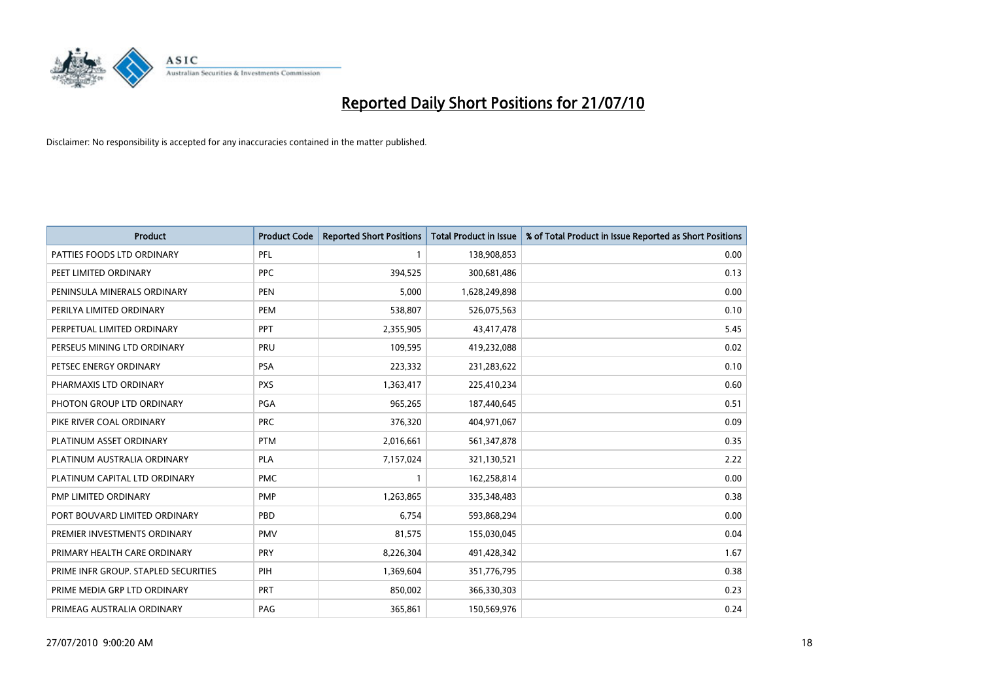

| <b>Product</b>                       | <b>Product Code</b> | <b>Reported Short Positions</b> | <b>Total Product in Issue</b> | % of Total Product in Issue Reported as Short Positions |
|--------------------------------------|---------------------|---------------------------------|-------------------------------|---------------------------------------------------------|
| PATTIES FOODS LTD ORDINARY           | PFL                 |                                 | 138,908,853                   | 0.00                                                    |
| PEET LIMITED ORDINARY                | <b>PPC</b>          | 394,525                         | 300,681,486                   | 0.13                                                    |
| PENINSULA MINERALS ORDINARY          | <b>PEN</b>          | 5,000                           | 1,628,249,898                 | 0.00                                                    |
| PERILYA LIMITED ORDINARY             | PEM                 | 538,807                         | 526,075,563                   | 0.10                                                    |
| PERPETUAL LIMITED ORDINARY           | <b>PPT</b>          | 2,355,905                       | 43,417,478                    | 5.45                                                    |
| PERSEUS MINING LTD ORDINARY          | PRU                 | 109,595                         | 419,232,088                   | 0.02                                                    |
| PETSEC ENERGY ORDINARY               | <b>PSA</b>          | 223,332                         | 231,283,622                   | 0.10                                                    |
| PHARMAXIS LTD ORDINARY               | <b>PXS</b>          | 1,363,417                       | 225,410,234                   | 0.60                                                    |
| PHOTON GROUP LTD ORDINARY            | <b>PGA</b>          | 965,265                         | 187,440,645                   | 0.51                                                    |
| PIKE RIVER COAL ORDINARY             | <b>PRC</b>          | 376,320                         | 404,971,067                   | 0.09                                                    |
| PLATINUM ASSET ORDINARY              | <b>PTM</b>          | 2,016,661                       | 561,347,878                   | 0.35                                                    |
| PLATINUM AUSTRALIA ORDINARY          | <b>PLA</b>          | 7,157,024                       | 321,130,521                   | 2.22                                                    |
| PLATINUM CAPITAL LTD ORDINARY        | <b>PMC</b>          |                                 | 162,258,814                   | 0.00                                                    |
| PMP LIMITED ORDINARY                 | <b>PMP</b>          | 1,263,865                       | 335,348,483                   | 0.38                                                    |
| PORT BOUVARD LIMITED ORDINARY        | PBD                 | 6.754                           | 593,868,294                   | 0.00                                                    |
| PREMIER INVESTMENTS ORDINARY         | <b>PMV</b>          | 81,575                          | 155,030,045                   | 0.04                                                    |
| PRIMARY HEALTH CARE ORDINARY         | PRY                 | 8,226,304                       | 491,428,342                   | 1.67                                                    |
| PRIME INFR GROUP. STAPLED SECURITIES | PIH                 | 1,369,604                       | 351,776,795                   | 0.38                                                    |
| PRIME MEDIA GRP LTD ORDINARY         | <b>PRT</b>          | 850,002                         | 366,330,303                   | 0.23                                                    |
| PRIMEAG AUSTRALIA ORDINARY           | PAG                 | 365,861                         | 150,569,976                   | 0.24                                                    |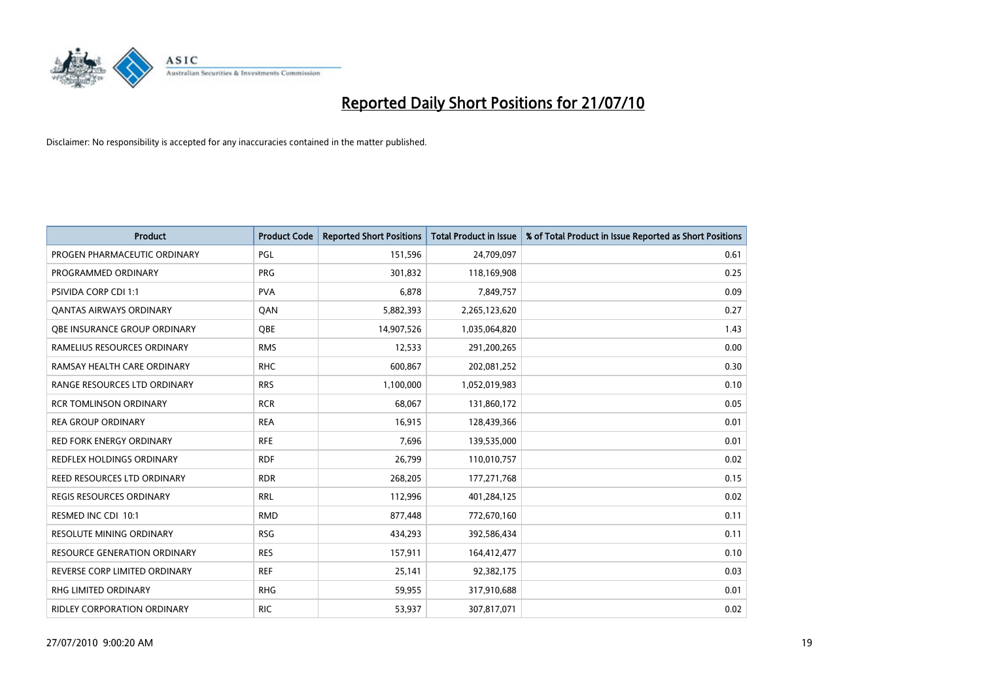

| <b>Product</b>                      | <b>Product Code</b> | <b>Reported Short Positions</b> | Total Product in Issue | % of Total Product in Issue Reported as Short Positions |
|-------------------------------------|---------------------|---------------------------------|------------------------|---------------------------------------------------------|
| PROGEN PHARMACEUTIC ORDINARY        | PGL                 | 151,596                         | 24,709,097             | 0.61                                                    |
| PROGRAMMED ORDINARY                 | <b>PRG</b>          | 301,832                         | 118,169,908            | 0.25                                                    |
| <b>PSIVIDA CORP CDI 1:1</b>         | <b>PVA</b>          | 6,878                           | 7,849,757              | 0.09                                                    |
| <b>QANTAS AIRWAYS ORDINARY</b>      | QAN                 | 5,882,393                       | 2,265,123,620          | 0.27                                                    |
| <b>QBE INSURANCE GROUP ORDINARY</b> | <b>OBE</b>          | 14,907,526                      | 1,035,064,820          | 1.43                                                    |
| RAMELIUS RESOURCES ORDINARY         | <b>RMS</b>          | 12,533                          | 291,200,265            | 0.00                                                    |
| RAMSAY HEALTH CARE ORDINARY         | <b>RHC</b>          | 600,867                         | 202,081,252            | 0.30                                                    |
| RANGE RESOURCES LTD ORDINARY        | <b>RRS</b>          | 1,100,000                       | 1,052,019,983          | 0.10                                                    |
| <b>RCR TOMLINSON ORDINARY</b>       | <b>RCR</b>          | 68,067                          | 131,860,172            | 0.05                                                    |
| <b>REA GROUP ORDINARY</b>           | <b>REA</b>          | 16,915                          | 128,439,366            | 0.01                                                    |
| RED FORK ENERGY ORDINARY            | <b>RFE</b>          | 7,696                           | 139,535,000            | 0.01                                                    |
| REDFLEX HOLDINGS ORDINARY           | <b>RDF</b>          | 26,799                          | 110,010,757            | 0.02                                                    |
| REED RESOURCES LTD ORDINARY         | <b>RDR</b>          | 268,205                         | 177,271,768            | 0.15                                                    |
| <b>REGIS RESOURCES ORDINARY</b>     | <b>RRL</b>          | 112,996                         | 401,284,125            | 0.02                                                    |
| RESMED INC CDI 10:1                 | <b>RMD</b>          | 877,448                         | 772,670,160            | 0.11                                                    |
| <b>RESOLUTE MINING ORDINARY</b>     | <b>RSG</b>          | 434,293                         | 392,586,434            | 0.11                                                    |
| <b>RESOURCE GENERATION ORDINARY</b> | <b>RES</b>          | 157,911                         | 164,412,477            | 0.10                                                    |
| REVERSE CORP LIMITED ORDINARY       | <b>REF</b>          | 25,141                          | 92,382,175             | 0.03                                                    |
| <b>RHG LIMITED ORDINARY</b>         | <b>RHG</b>          | 59,955                          | 317,910,688            | 0.01                                                    |
| RIDLEY CORPORATION ORDINARY         | <b>RIC</b>          | 53,937                          | 307,817,071            | 0.02                                                    |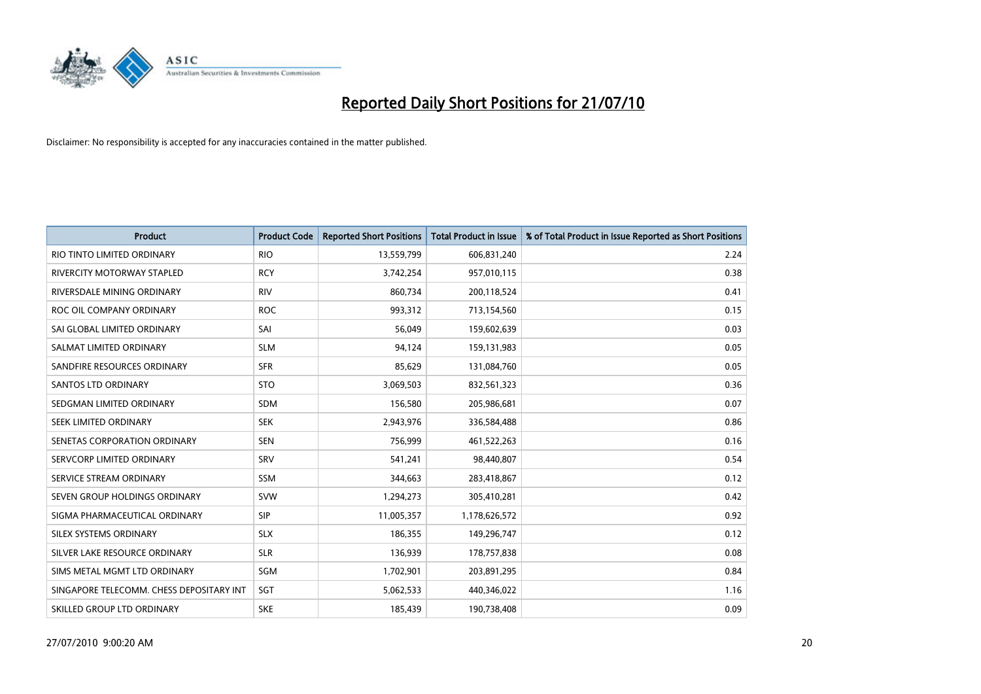

| <b>Product</b>                           | <b>Product Code</b> | <b>Reported Short Positions</b> | Total Product in Issue | % of Total Product in Issue Reported as Short Positions |
|------------------------------------------|---------------------|---------------------------------|------------------------|---------------------------------------------------------|
| RIO TINTO LIMITED ORDINARY               | <b>RIO</b>          | 13,559,799                      | 606,831,240            | 2.24                                                    |
| RIVERCITY MOTORWAY STAPLED               | <b>RCY</b>          | 3,742,254                       | 957,010,115            | 0.38                                                    |
| RIVERSDALE MINING ORDINARY               | <b>RIV</b>          | 860,734                         | 200,118,524            | 0.41                                                    |
| ROC OIL COMPANY ORDINARY                 | <b>ROC</b>          | 993,312                         | 713,154,560            | 0.15                                                    |
| SAI GLOBAL LIMITED ORDINARY              | SAI                 | 56,049                          | 159,602,639            | 0.03                                                    |
| SALMAT LIMITED ORDINARY                  | <b>SLM</b>          | 94,124                          | 159,131,983            | 0.05                                                    |
| SANDFIRE RESOURCES ORDINARY              | <b>SFR</b>          | 85,629                          | 131,084,760            | 0.05                                                    |
| <b>SANTOS LTD ORDINARY</b>               | <b>STO</b>          | 3,069,503                       | 832,561,323            | 0.36                                                    |
| SEDGMAN LIMITED ORDINARY                 | <b>SDM</b>          | 156,580                         | 205,986,681            | 0.07                                                    |
| SEEK LIMITED ORDINARY                    | <b>SEK</b>          | 2,943,976                       | 336,584,488            | 0.86                                                    |
| SENETAS CORPORATION ORDINARY             | <b>SEN</b>          | 756,999                         | 461,522,263            | 0.16                                                    |
| SERVCORP LIMITED ORDINARY                | SRV                 | 541,241                         | 98,440,807             | 0.54                                                    |
| SERVICE STREAM ORDINARY                  | <b>SSM</b>          | 344,663                         | 283,418,867            | 0.12                                                    |
| SEVEN GROUP HOLDINGS ORDINARY            | <b>SVW</b>          | 1,294,273                       | 305,410,281            | 0.42                                                    |
| SIGMA PHARMACEUTICAL ORDINARY            | <b>SIP</b>          | 11,005,357                      | 1,178,626,572          | 0.92                                                    |
| SILEX SYSTEMS ORDINARY                   | <b>SLX</b>          | 186,355                         | 149,296,747            | 0.12                                                    |
| SILVER LAKE RESOURCE ORDINARY            | <b>SLR</b>          | 136,939                         | 178,757,838            | 0.08                                                    |
| SIMS METAL MGMT LTD ORDINARY             | SGM                 | 1,702,901                       | 203,891,295            | 0.84                                                    |
| SINGAPORE TELECOMM. CHESS DEPOSITARY INT | SGT                 | 5,062,533                       | 440,346,022            | 1.16                                                    |
| SKILLED GROUP LTD ORDINARY               | <b>SKE</b>          | 185,439                         | 190,738,408            | 0.09                                                    |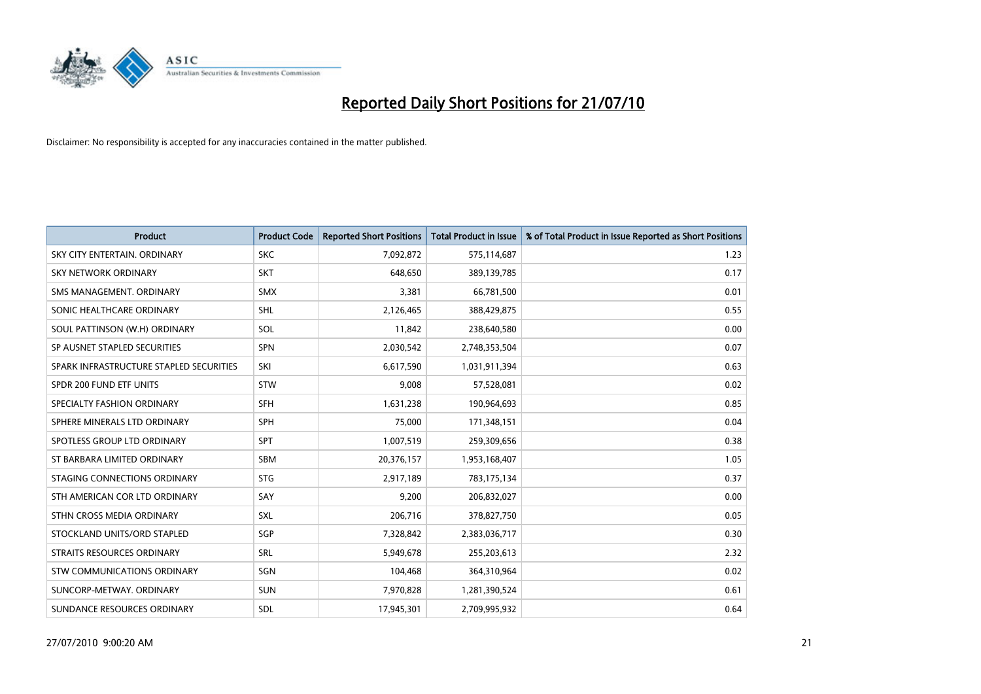

| <b>Product</b>                          | <b>Product Code</b> | <b>Reported Short Positions</b> | Total Product in Issue | % of Total Product in Issue Reported as Short Positions |
|-----------------------------------------|---------------------|---------------------------------|------------------------|---------------------------------------------------------|
| SKY CITY ENTERTAIN, ORDINARY            | <b>SKC</b>          | 7,092,872                       | 575,114,687            | 1.23                                                    |
| SKY NETWORK ORDINARY                    | <b>SKT</b>          | 648,650                         | 389,139,785            | 0.17                                                    |
| SMS MANAGEMENT, ORDINARY                | <b>SMX</b>          | 3,381                           | 66,781,500             | 0.01                                                    |
| SONIC HEALTHCARE ORDINARY               | <b>SHL</b>          | 2,126,465                       | 388,429,875            | 0.55                                                    |
| SOUL PATTINSON (W.H) ORDINARY           | SOL                 | 11,842                          | 238,640,580            | 0.00                                                    |
| SP AUSNET STAPLED SECURITIES            | <b>SPN</b>          | 2,030,542                       | 2,748,353,504          | 0.07                                                    |
| SPARK INFRASTRUCTURE STAPLED SECURITIES | SKI                 | 6,617,590                       | 1,031,911,394          | 0.63                                                    |
| SPDR 200 FUND ETF UNITS                 | <b>STW</b>          | 9,008                           | 57,528,081             | 0.02                                                    |
| SPECIALTY FASHION ORDINARY              | <b>SFH</b>          | 1,631,238                       | 190,964,693            | 0.85                                                    |
| SPHERE MINERALS LTD ORDINARY            | <b>SPH</b>          | 75,000                          | 171,348,151            | 0.04                                                    |
| SPOTLESS GROUP LTD ORDINARY             | <b>SPT</b>          | 1,007,519                       | 259,309,656            | 0.38                                                    |
| ST BARBARA LIMITED ORDINARY             | SBM                 | 20,376,157                      | 1,953,168,407          | 1.05                                                    |
| STAGING CONNECTIONS ORDINARY            | <b>STG</b>          | 2,917,189                       | 783,175,134            | 0.37                                                    |
| STH AMERICAN COR LTD ORDINARY           | SAY                 | 9,200                           | 206,832,027            | 0.00                                                    |
| STHN CROSS MEDIA ORDINARY               | <b>SXL</b>          | 206,716                         | 378,827,750            | 0.05                                                    |
| STOCKLAND UNITS/ORD STAPLED             | SGP                 | 7,328,842                       | 2,383,036,717          | 0.30                                                    |
| STRAITS RESOURCES ORDINARY              | SRL                 | 5,949,678                       | 255,203,613            | 2.32                                                    |
| <b>STW COMMUNICATIONS ORDINARY</b>      | SGN                 | 104,468                         | 364,310,964            | 0.02                                                    |
| SUNCORP-METWAY, ORDINARY                | <b>SUN</b>          | 7,970,828                       | 1,281,390,524          | 0.61                                                    |
| SUNDANCE RESOURCES ORDINARY             | <b>SDL</b>          | 17,945,301                      | 2,709,995,932          | 0.64                                                    |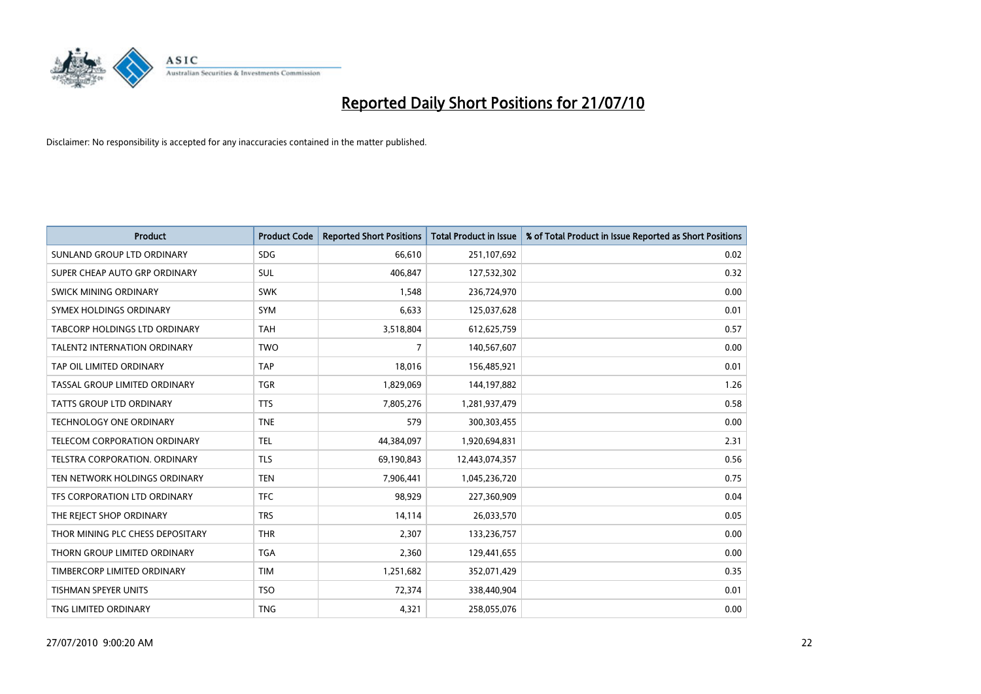

| <b>Product</b>                       | <b>Product Code</b> | <b>Reported Short Positions</b> | <b>Total Product in Issue</b> | % of Total Product in Issue Reported as Short Positions |
|--------------------------------------|---------------------|---------------------------------|-------------------------------|---------------------------------------------------------|
| SUNLAND GROUP LTD ORDINARY           | <b>SDG</b>          | 66,610                          | 251,107,692                   | 0.02                                                    |
| SUPER CHEAP AUTO GRP ORDINARY        | <b>SUL</b>          | 406,847                         | 127,532,302                   | 0.32                                                    |
| SWICK MINING ORDINARY                | <b>SWK</b>          | 1,548                           | 236,724,970                   | 0.00                                                    |
| SYMEX HOLDINGS ORDINARY              | <b>SYM</b>          | 6,633                           | 125,037,628                   | 0.01                                                    |
| TABCORP HOLDINGS LTD ORDINARY        | <b>TAH</b>          | 3,518,804                       | 612,625,759                   | 0.57                                                    |
| <b>TALENT2 INTERNATION ORDINARY</b>  | <b>TWO</b>          | $\overline{7}$                  | 140,567,607                   | 0.00                                                    |
| TAP OIL LIMITED ORDINARY             | <b>TAP</b>          | 18,016                          | 156,485,921                   | 0.01                                                    |
| TASSAL GROUP LIMITED ORDINARY        | <b>TGR</b>          | 1,829,069                       | 144,197,882                   | 1.26                                                    |
| <b>TATTS GROUP LTD ORDINARY</b>      | <b>TTS</b>          | 7,805,276                       | 1,281,937,479                 | 0.58                                                    |
| <b>TECHNOLOGY ONE ORDINARY</b>       | <b>TNE</b>          | 579                             | 300, 303, 455                 | 0.00                                                    |
| TELECOM CORPORATION ORDINARY         | <b>TEL</b>          | 44,384,097                      | 1,920,694,831                 | 2.31                                                    |
| <b>TELSTRA CORPORATION, ORDINARY</b> | <b>TLS</b>          | 69,190,843                      | 12,443,074,357                | 0.56                                                    |
| TEN NETWORK HOLDINGS ORDINARY        | <b>TEN</b>          | 7,906,441                       | 1,045,236,720                 | 0.75                                                    |
| TFS CORPORATION LTD ORDINARY         | <b>TFC</b>          | 98,929                          | 227,360,909                   | 0.04                                                    |
| THE REJECT SHOP ORDINARY             | <b>TRS</b>          | 14,114                          | 26,033,570                    | 0.05                                                    |
| THOR MINING PLC CHESS DEPOSITARY     | <b>THR</b>          | 2,307                           | 133,236,757                   | 0.00                                                    |
| THORN GROUP LIMITED ORDINARY         | <b>TGA</b>          | 2,360                           | 129,441,655                   | 0.00                                                    |
| TIMBERCORP LIMITED ORDINARY          | <b>TIM</b>          | 1,251,682                       | 352,071,429                   | 0.35                                                    |
| TISHMAN SPEYER UNITS                 | <b>TSO</b>          | 72,374                          | 338,440,904                   | 0.01                                                    |
| TNG LIMITED ORDINARY                 | <b>TNG</b>          | 4,321                           | 258,055,076                   | 0.00                                                    |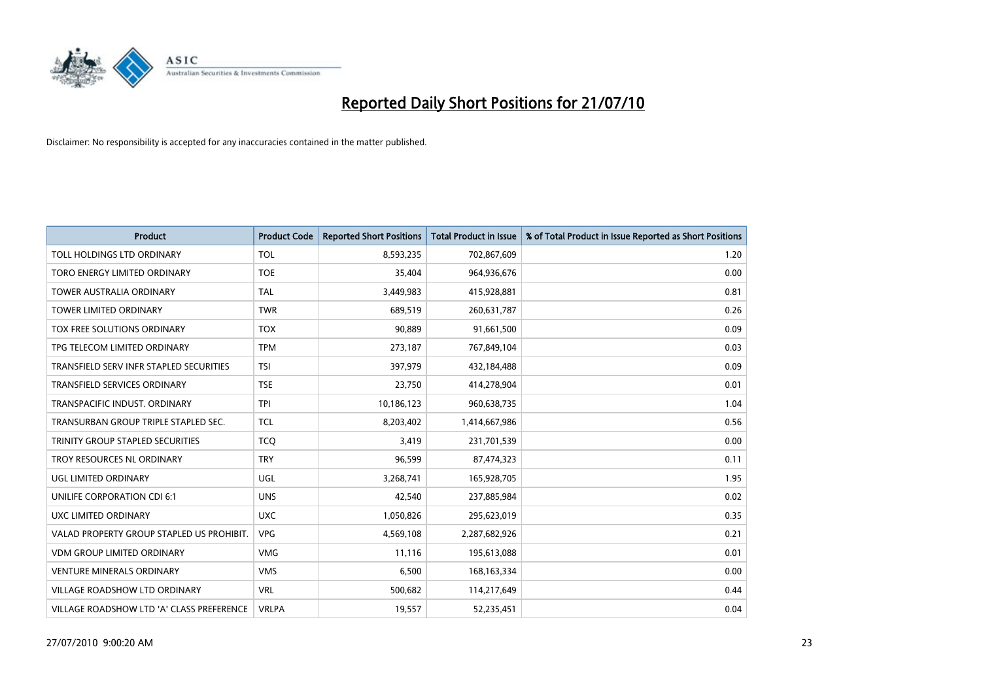

| <b>Product</b>                            | <b>Product Code</b> | <b>Reported Short Positions</b> | Total Product in Issue | % of Total Product in Issue Reported as Short Positions |
|-------------------------------------------|---------------------|---------------------------------|------------------------|---------------------------------------------------------|
| TOLL HOLDINGS LTD ORDINARY                | <b>TOL</b>          | 8,593,235                       | 702,867,609            | 1.20                                                    |
| TORO ENERGY LIMITED ORDINARY              | <b>TOE</b>          | 35.404                          | 964,936,676            | 0.00                                                    |
| <b>TOWER AUSTRALIA ORDINARY</b>           | <b>TAL</b>          | 3,449,983                       | 415,928,881            | 0.81                                                    |
| TOWER LIMITED ORDINARY                    | <b>TWR</b>          | 689,519                         | 260,631,787            | 0.26                                                    |
| <b>TOX FREE SOLUTIONS ORDINARY</b>        | <b>TOX</b>          | 90.889                          | 91,661,500             | 0.09                                                    |
| TPG TELECOM LIMITED ORDINARY              | <b>TPM</b>          | 273,187                         | 767,849,104            | 0.03                                                    |
| TRANSFIELD SERV INFR STAPLED SECURITIES   | <b>TSI</b>          | 397.979                         | 432,184,488            | 0.09                                                    |
| <b>TRANSFIELD SERVICES ORDINARY</b>       | <b>TSE</b>          | 23,750                          | 414,278,904            | 0.01                                                    |
| TRANSPACIFIC INDUST. ORDINARY             | <b>TPI</b>          | 10,186,123                      | 960,638,735            | 1.04                                                    |
| TRANSURBAN GROUP TRIPLE STAPLED SEC.      | <b>TCL</b>          | 8,203,402                       | 1,414,667,986          | 0.56                                                    |
| TRINITY GROUP STAPLED SECURITIES          | <b>TCQ</b>          | 3,419                           | 231,701,539            | 0.00                                                    |
| TROY RESOURCES NL ORDINARY                | <b>TRY</b>          | 96,599                          | 87,474,323             | 0.11                                                    |
| <b>UGL LIMITED ORDINARY</b>               | UGL                 | 3.268.741                       | 165,928,705            | 1.95                                                    |
| UNILIFE CORPORATION CDI 6:1               | <b>UNS</b>          | 42.540                          | 237,885,984            | 0.02                                                    |
| UXC LIMITED ORDINARY                      | <b>UXC</b>          | 1,050,826                       | 295,623,019            | 0.35                                                    |
| VALAD PROPERTY GROUP STAPLED US PROHIBIT. | <b>VPG</b>          | 4,569,108                       | 2,287,682,926          | 0.21                                                    |
| <b>VDM GROUP LIMITED ORDINARY</b>         | <b>VMG</b>          | 11,116                          | 195,613,088            | 0.01                                                    |
| <b>VENTURE MINERALS ORDINARY</b>          | <b>VMS</b>          | 6,500                           | 168, 163, 334          | 0.00                                                    |
| <b>VILLAGE ROADSHOW LTD ORDINARY</b>      | <b>VRL</b>          | 500,682                         | 114,217,649            | 0.44                                                    |
| VILLAGE ROADSHOW LTD 'A' CLASS PREFERENCE | <b>VRLPA</b>        | 19,557                          | 52,235,451             | 0.04                                                    |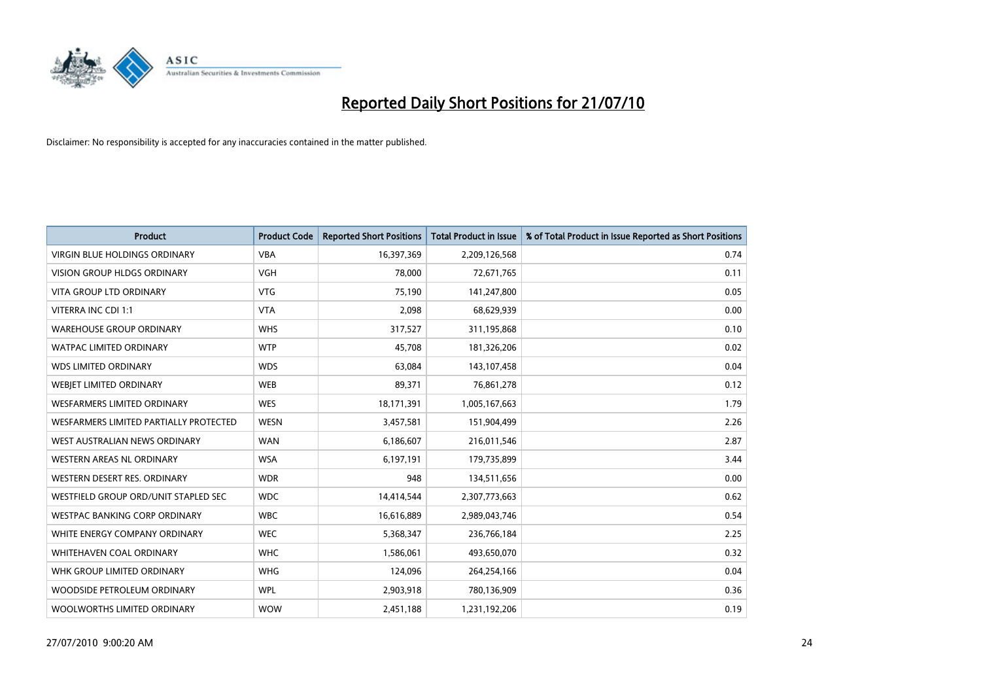

| <b>Product</b>                         | <b>Product Code</b> | <b>Reported Short Positions</b> | <b>Total Product in Issue</b> | % of Total Product in Issue Reported as Short Positions |
|----------------------------------------|---------------------|---------------------------------|-------------------------------|---------------------------------------------------------|
| <b>VIRGIN BLUE HOLDINGS ORDINARY</b>   | <b>VBA</b>          | 16,397,369                      | 2,209,126,568                 | 0.74                                                    |
| VISION GROUP HLDGS ORDINARY            | <b>VGH</b>          | 78,000                          | 72,671,765                    | 0.11                                                    |
| VITA GROUP LTD ORDINARY                | <b>VTG</b>          | 75,190                          | 141,247,800                   | 0.05                                                    |
| VITERRA INC CDI 1:1                    | <b>VTA</b>          | 2,098                           | 68,629,939                    | 0.00                                                    |
| <b>WAREHOUSE GROUP ORDINARY</b>        | <b>WHS</b>          | 317,527                         | 311,195,868                   | 0.10                                                    |
| <b>WATPAC LIMITED ORDINARY</b>         | <b>WTP</b>          | 45,708                          | 181,326,206                   | 0.02                                                    |
| <b>WDS LIMITED ORDINARY</b>            | <b>WDS</b>          | 63,084                          | 143,107,458                   | 0.04                                                    |
| WEBJET LIMITED ORDINARY                | <b>WEB</b>          | 89,371                          | 76,861,278                    | 0.12                                                    |
| <b>WESFARMERS LIMITED ORDINARY</b>     | <b>WES</b>          | 18,171,391                      | 1,005,167,663                 | 1.79                                                    |
| WESFARMERS LIMITED PARTIALLY PROTECTED | <b>WESN</b>         | 3,457,581                       | 151,904,499                   | 2.26                                                    |
| WEST AUSTRALIAN NEWS ORDINARY          | <b>WAN</b>          | 6,186,607                       | 216,011,546                   | 2.87                                                    |
| <b>WESTERN AREAS NL ORDINARY</b>       | <b>WSA</b>          | 6,197,191                       | 179,735,899                   | 3.44                                                    |
| WESTERN DESERT RES. ORDINARY           | <b>WDR</b>          | 948                             | 134,511,656                   | 0.00                                                    |
| WESTFIELD GROUP ORD/UNIT STAPLED SEC   | <b>WDC</b>          | 14,414,544                      | 2,307,773,663                 | 0.62                                                    |
| <b>WESTPAC BANKING CORP ORDINARY</b>   | <b>WBC</b>          | 16,616,889                      | 2,989,043,746                 | 0.54                                                    |
| WHITE ENERGY COMPANY ORDINARY          | <b>WEC</b>          | 5,368,347                       | 236,766,184                   | 2.25                                                    |
| WHITEHAVEN COAL ORDINARY               | <b>WHC</b>          | 1,586,061                       | 493,650,070                   | 0.32                                                    |
| WHK GROUP LIMITED ORDINARY             | <b>WHG</b>          | 124,096                         | 264,254,166                   | 0.04                                                    |
| WOODSIDE PETROLEUM ORDINARY            | <b>WPL</b>          | 2,903,918                       | 780,136,909                   | 0.36                                                    |
| WOOLWORTHS LIMITED ORDINARY            | <b>WOW</b>          | 2,451,188                       | 1,231,192,206                 | 0.19                                                    |